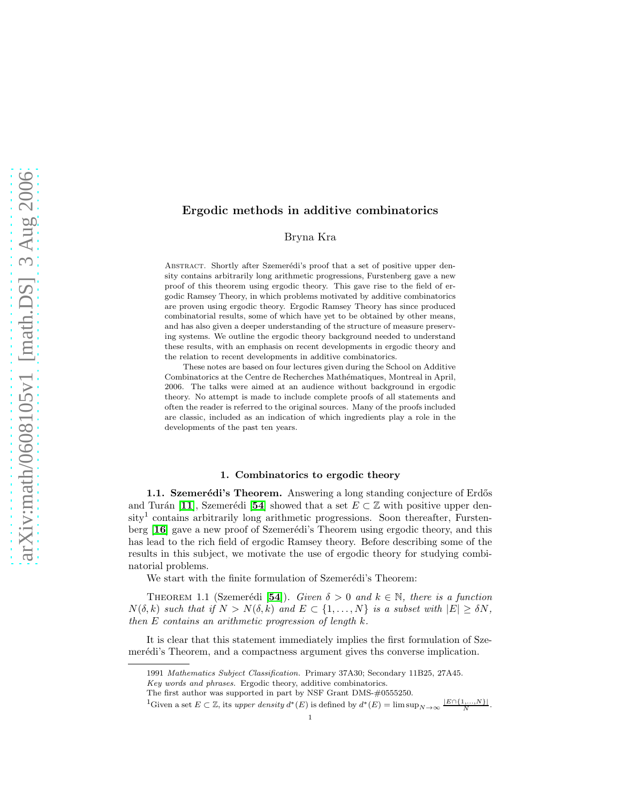# Ergodic methods in additive combinatorics

Bryna Kra

ABSTRACT. Shortly after Szemerédi's proof that a set of positive upper density contains arbitrarily long arithmetic progressions, Furstenberg gave a new proof of this theorem using ergodic theory. This gave rise to the field of ergodic Ramsey Theory, in which problems motivated by additive combinatorics are proven using ergodic theory. Ergodic Ramsey Theory has since produced combinatorial results, some of which have yet to be obtained by other means, and has also given a deeper understanding of the structure of measure preserving systems. We outline the ergodic theory background needed to understand these results, with an emphasis on recent developments in ergodic theory and the relation to recent developments in additive combinatorics.

These notes are based on four lectures given during the School on Additive Combinatorics at the Centre de Recherches Mathématiques, Montreal in April, 2006. The talks were aimed at an audience without background in ergodic theory. No attempt is made to include complete proofs of all statements and often the reader is referred to the original sources. Many of the proofs included are classic, included as an indication of which ingredients play a role in the developments of the past ten years.

## 1. Combinatorics to ergodic theory

1.1. Szemerédi's Theorem. Answering a long standing conjecture of Erdős and Turán [[11](#page-35-0)], Szemerédi [[54](#page-37-0)] showed that a set  $E \subset \mathbb{Z}$  with positive upper density<sup>1</sup> contains arbitrarily long arithmetic progressions. Soon thereafter, Furstenberg  $[16]$  $[16]$  $[16]$  gave a new proof of Szemerédi's Theorem using ergodic theory, and this has lead to the rich field of ergodic Ramsey theory. Before describing some of the results in this subject, we motivate the use of ergodic theory for studying combinatorial problems.

We start with the finite formulation of Szemerédi's Theorem:

THEOREM 1.1 (Szemerédi [[54](#page-37-0)]). Given  $\delta > 0$  and  $k \in \mathbb{N}$ , there is a function  $N(\delta, k)$  such that if  $N > N(\delta, k)$  and  $E \subset \{1, ..., N\}$  is a subset with  $|E| \geq \delta N$ , then E contains an arithmetic progression of length k.

It is clear that this statement immediately implies the first formulation of Szemerédi's Theorem, and a compactness argument gives the converse implication.

.

<sup>1991</sup> Mathematics Subject Classification. Primary 37A30; Secondary 11B25, 27A45.

Key words and phrases. Ergodic theory, additive combinatorics.

The first author was supported in part by NSF Grant DMS-#0555250.

<sup>&</sup>lt;sup>1</sup>Given a set  $E \subset \mathbb{Z}$ , its upper density  $d^*(E)$  is defined by  $d^*(E) = \limsup_{N \to \infty} \frac{|E \cap \{1, ..., N\}|}{N}$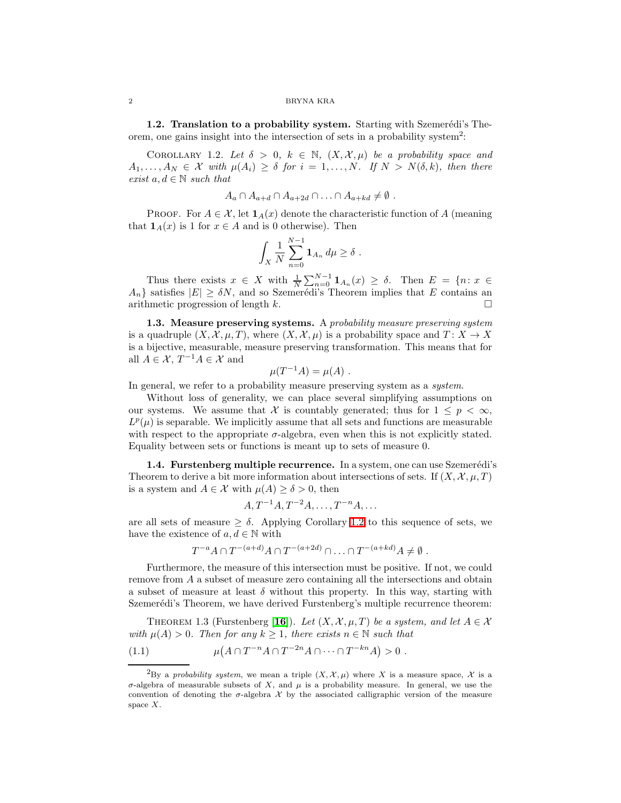<span id="page-1-0"></span>1.2. Translation to a probability system. Starting with Szemerédi's Theorem, one gains insight into the intersection of sets in a probability system<sup>2</sup>:

COROLLARY 1.2. Let  $\delta > 0$ ,  $k \in \mathbb{N}$ ,  $(X, \mathcal{X}, \mu)$  be a probability space and  $A_1, \ldots, A_N \in \mathcal{X}$  with  $\mu(A_i) \geq \delta$  for  $i = 1, \ldots, N$ . If  $N > N(\delta, k)$ , then there exist  $a, d \in \mathbb{N}$  such that

$$
A_a \cap A_{a+d} \cap A_{a+2d} \cap \ldots \cap A_{a+kd} \neq \emptyset.
$$

PROOF. For  $A \in \mathcal{X}$ , let  $\mathbf{1}_A(x)$  denote the characteristic function of A (meaning that  $\mathbf{1}_A(x)$  is 1 for  $x \in A$  and is 0 otherwise). Then

$$
\int_X \frac{1}{N} \sum_{n=0}^{N-1} \mathbf{1}_{A_n} d\mu \ge \delta.
$$

Thus there exists  $x \in X$  with  $\frac{1}{N} \sum_{n=0}^{N-1} \mathbf{1}_{A_n}(x) \geq \delta$ . Then  $E = \{n : x \in X\}$  $A_n$  satisfies  $|E| \ge \delta N$ , and so Szemerédi's Theorem implies that E contains and arithmetic progression of length k.

1.3. Measure preserving systems. A probability measure preserving system is a quadruple  $(X, \mathcal{X}, \mu, T)$ , where  $(X, \mathcal{X}, \mu)$  is a probability space and  $T: X \to X$ is a bijective, measurable, measure preserving transformation. This means that for all  $A \in \mathcal{X}, T^{-1}A \in \mathcal{X}$  and

$$
\mu(T^{-1}A) = \mu(A) .
$$

In general, we refer to a probability measure preserving system as a *system*.

Without loss of generality, we can place several simplifying assumptions on our systems. We assume that X is countably generated; thus for  $1 \leq p < \infty$ ,  $L^p(\mu)$  is separable. We implicitly assume that all sets and functions are measurable with respect to the appropriate  $\sigma$ -algebra, even when this is not explicitly stated. Equality between sets or functions is meant up to sets of measure 0.

1.4. Furstenberg multiple recurrence. In a system, one can use Szemerédi's Theorem to derive a bit more information about intersections of sets. If  $(X, \mathcal{X}, \mu, T)$ is a system and  $A \in \mathcal{X}$  with  $\mu(A) \geq \delta > 0$ , then

<span id="page-1-2"></span>
$$
A, T^{-1}A, T^{-2}A, \ldots, T^{-n}A, \ldots
$$

are all sets of measure  $\geq \delta$ . Applying Corollary [1.2](#page-1-0) to this sequence of sets, we have the existence of  $a, d \in \mathbb{N}$  with

$$
T^{-a}A\cap T^{-(a+d)}A\cap T^{-(a+2d)}\cap\ldots\cap T^{-(a+kd)}A\neq\emptyset.
$$

Furthermore, the measure of this intersection must be positive. If not, we could remove from A a subset of measure zero containing all the intersections and obtain a subset of measure at least  $\delta$  without this property. In this way, starting with Szemerédi's Theorem, we have derived Furstenberg's multiple recurrence theorem:

<span id="page-1-1"></span>THEOREM 1.3 (Furstenberg [[16](#page-36-0)]). Let  $(X, \mathcal{X}, \mu, T)$  be a system, and let  $A \in \mathcal{X}$ with  $\mu(A) > 0$ . Then for any  $k \geq 1$ , there exists  $n \in \mathbb{N}$  such that

(1.1) 
$$
\mu(A \cap T^{-n}A \cap T^{-2n}A \cap \dots \cap T^{-kn}A) > 0.
$$

<sup>&</sup>lt;sup>2</sup>By a probability system, we mean a triple  $(X, \mathcal{X}, \mu)$  where X is a measure space, X is a  $\sigma$ -algebra of measurable subsets of X, and  $\mu$  is a probability measure. In general, we use the convention of denoting the  $\sigma$ -algebra X by the associated calligraphic version of the measure space X.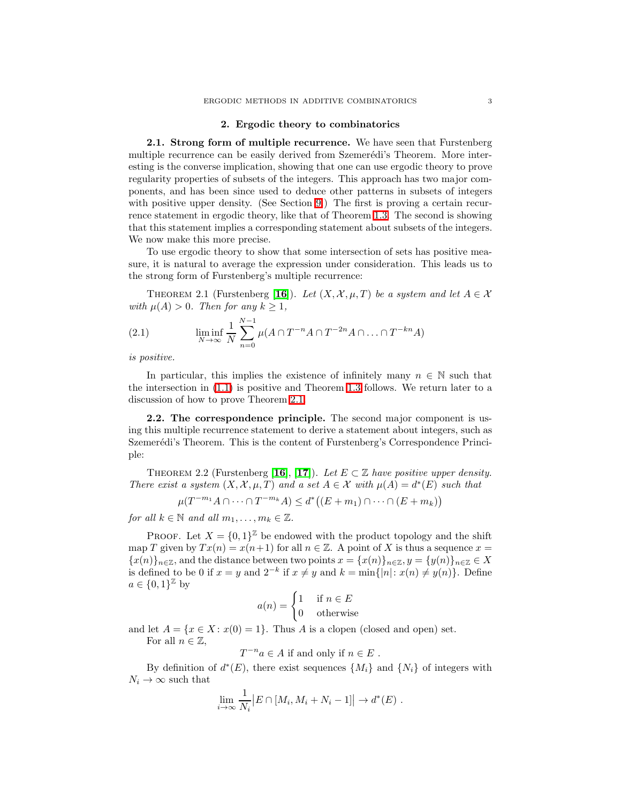### 2. Ergodic theory to combinatorics

2.1. Strong form of multiple recurrence. We have seen that Furstenberg multiple recurrence can be easily derived from Szemerédi's Theorem. More interesting is the converse implication, showing that one can use ergodic theory to prove regularity properties of subsets of the integers. This approach has two major components, and has been since used to deduce other patterns in subsets of integers with positive upper density. (See Section [9.](#page-26-0)) The first is proving a certain recurrence statement in ergodic theory, like that of Theorem [1.3.](#page-1-1) The second is showing that this statement implies a corresponding statement about subsets of the integers. We now make this more precise.

To use ergodic theory to show that some intersection of sets has positive measure, it is natural to average the expression under consideration. This leads us to the strong form of Furstenberg's multiple recurrence:

<span id="page-2-1"></span><span id="page-2-0"></span>THEOREM 2.1 (Furstenberg [[16](#page-36-0)]). Let  $(X, \mathcal{X}, \mu, T)$  be a system and let  $A \in \mathcal{X}$ with  $\mu(A) > 0$ . Then for any  $k \geq 1$ ,

(2.1) 
$$
\liminf_{N \to \infty} \frac{1}{N} \sum_{n=0}^{N-1} \mu(A \cap T^{-n} A \cap T^{-2n} A \cap ... \cap T^{-kn} A)
$$

is positive.

In particular, this implies the existence of infinitely many  $n \in \mathbb{N}$  such that the intersection in [\(1.1\)](#page-1-2) is positive and Theorem [1.3](#page-1-1) follows. We return later to a discussion of how to prove Theorem [2.1.](#page-2-0)

2.2. The correspondence principle. The second major component is using this multiple recurrence statement to derive a statement about integers, such as Szemerédi's Theorem. This is the content of Furstenberg's Correspondence Principle:

THEOREM 2.2 (Furstenberg [[16](#page-36-0)], [[17](#page-36-1)]). Let  $E \subset \mathbb{Z}$  have positive upper density. There exist a system  $(X, \mathcal{X}, \mu, T)$  and a set  $A \in \mathcal{X}$  with  $\mu(A) = d^*(E)$  such that

$$
\mu(T^{-m_1}A \cap \dots \cap T^{-m_k}A) \leq d^*\big((E+m_1) \cap \dots \cap (E+m_k)\big)
$$

for all  $k \in \mathbb{N}$  and all  $m_1, \ldots, m_k \in \mathbb{Z}$ .

PROOF. Let  $X = \{0, 1\}^{\mathbb{Z}}$  be endowed with the product topology and the shift map T given by  $Tx(n) = x(n+1)$  for all  $n \in \mathbb{Z}$ . A point of X is thus a sequence  $x =$  ${x(n)}_{n\in\mathbb{Z}}$ , and the distance between two points  $x = {x(n)}_{n\in\mathbb{Z}}$ ,  $y = {y(n)}_{n\in\mathbb{Z}} \in X$ is defined to be 0 if  $x = y$  and  $2^{-k}$  if  $x \neq y$  and  $k = \min\{|n|: x(n) \neq y(n)\}\$ . Define  $a \in \{0,1\}^{\mathbb{Z}}$  by

$$
a(n) = \begin{cases} 1 & \text{if } n \in E \\ 0 & \text{otherwise} \end{cases}
$$

and let  $A = \{x \in X : x(0) = 1\}$ . Thus A is a clopen (closed and open) set. For all  $n \in \mathbb{Z}$ ,

 $T^{-n}a \in A$  if and only if  $n \in E$ .

By definition of  $d^*(E)$ , there exist sequences  $\{M_i\}$  and  $\{N_i\}$  of integers with  $N_i \rightarrow \infty$  such that

$$
\lim_{i \to \infty} \frac{1}{N_i} |E \cap [M_i, M_i + N_i - 1]| \to d^*(E) .
$$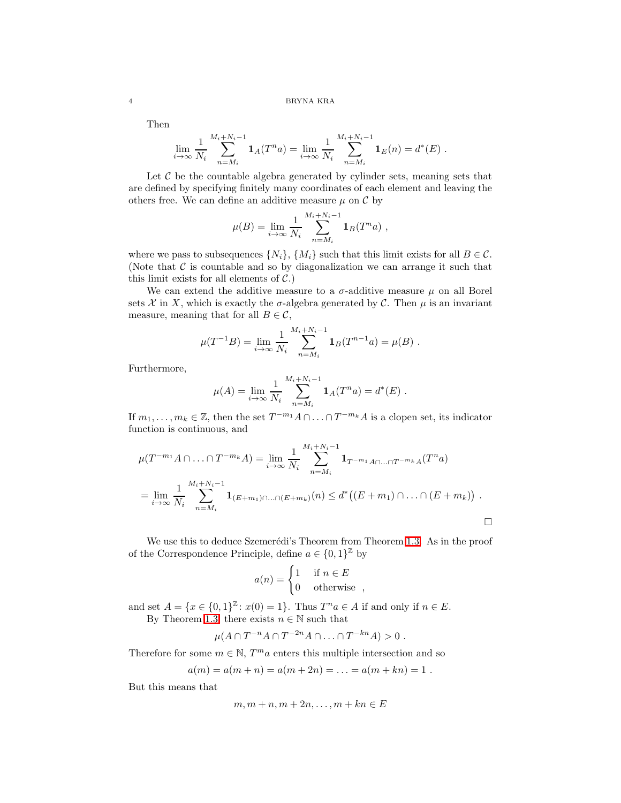Then

$$
\lim_{i \to \infty} \frac{1}{N_i} \sum_{n=M_i}^{M_i+N_i-1} \mathbf{1}_A(T^n a) = \lim_{i \to \infty} \frac{1}{N_i} \sum_{n=M_i}^{M_i+N_i-1} \mathbf{1}_E(n) = d^*(E) .
$$

Let  $\mathcal C$  be the countable algebra generated by cylinder sets, meaning sets that are defined by specifying finitely many coordinates of each element and leaving the others free. We can define an additive measure  $\mu$  on  $\mathcal C$  by

$$
\mu(B) = \lim_{i \to \infty} \frac{1}{N_i} \sum_{n=M_i}^{M_i + N_i - 1} \mathbf{1}_B(T^n a) ,
$$

where we pass to subsequences  $\{N_i\}$ ,  $\{M_i\}$  such that this limit exists for all  $B \in \mathcal{C}$ . (Note that  $\mathcal C$  is countable and so by diagonalization we can arrange it such that this limit exists for all elements of  $C$ .)

We can extend the additive measure to a  $\sigma$ -additive measure  $\mu$  on all Borel sets X in X, which is exactly the  $\sigma$ -algebra generated by C. Then  $\mu$  is an invariant measure, meaning that for all  $B \in \mathcal{C}$ ,

$$
\mu(T^{-1}B) = \lim_{i \to \infty} \frac{1}{N_i} \sum_{n=M_i}^{M_i + N_i - 1} \mathbf{1}_B(T^{n-1}a) = \mu(B) .
$$

Furthermore,

$$
\mu(A) = \lim_{i \to \infty} \frac{1}{N_i} \sum_{n=M_i}^{M_i + N_i - 1} \mathbf{1}_A(T^n a) = d^*(E) .
$$

If  $m_1, \ldots, m_k \in \mathbb{Z}$ , then the set  $T^{-m_1}A \cap \ldots \cap T^{-m_k}A$  is a clopen set, its indicator function is continuous, and

$$
\mu(T^{-m_1}A \cap \dots \cap T^{-m_k}A) = \lim_{i \to \infty} \frac{1}{N_i} \sum_{n=M_i}^{M_i + N_i - 1} \mathbf{1}_{T^{-m_1}A \cap \dots \cap T^{-m_k}A}(T^n a)
$$
  
= 
$$
\lim_{i \to \infty} \frac{1}{N_i} \sum_{n=M_i}^{M_i + N_i - 1} \mathbf{1}_{(E+m_1) \cap \dots \cap (E+m_k)}(n) \leq d^* \big((E+m_1) \cap \dots \cap (E+m_k)\big) .
$$

We use this to deduce Szemerédi's Theorem from Theorem [1.3.](#page-1-1) As in the proof of the Correspondence Principle, define  $a \in \{0,1\}^{\mathbb{Z}}$  by

$$
a(n) = \begin{cases} 1 & \text{if } n \in E \\ 0 & \text{otherwise} \end{cases}
$$

and set  $A = \{x \in \{0, 1\}^{\mathbb{Z}} : x(0) = 1\}$ . Thus  $T^n a \in A$  if and only if  $n \in E$ . By Theorem [1.3,](#page-1-1) there exists  $n \in \mathbb{N}$  such that

$$
\mu(A \cap T^{-n}A \cap T^{-2n}A \cap \ldots \cap T^{-kn}A) > 0.
$$

Therefore for some  $m \in \mathbb{N},$   $T^m a$  enters this multiple intersection and so

$$
a(m) = a(m + n) = a(m + 2n) = \ldots = a(m + kn) = 1.
$$

But this means that

$$
m, m+n, m+2n, \dots, m+kn \in E
$$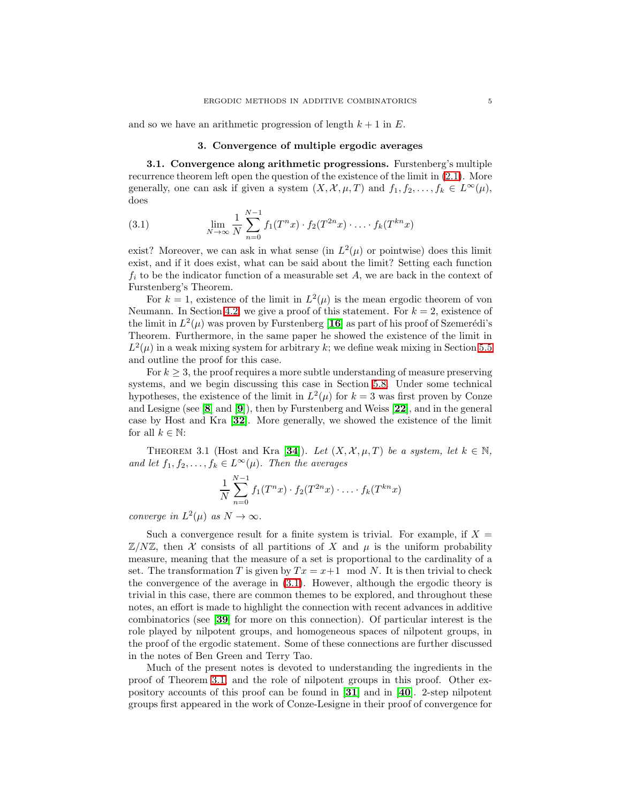and so we have an arithmetic progression of length  $k + 1$  in E.

# 3. Convergence of multiple ergodic averages

<span id="page-4-0"></span>3.1. Convergence along arithmetic progressions. Furstenberg's multiple recurrence theorem left open the question of the existence of the limit in [\(2.1\)](#page-2-1). More generally, one can ask if given a system  $(X, \mathcal{X}, \mu, T)$  and  $f_1, f_2, \ldots, f_k \in L^{\infty}(\mu)$ , does

(3.1) 
$$
\lim_{N \to \infty} \frac{1}{N} \sum_{n=0}^{N-1} f_1(T^n x) \cdot f_2(T^{2n} x) \cdot \ldots \cdot f_k(T^{kn} x)
$$

exist? Moreover, we can ask in what sense (in  $L^2(\mu)$  or pointwise) does this limit exist, and if it does exist, what can be said about the limit? Setting each function  $f_i$  to be the indicator function of a measurable set A, we are back in the context of Furstenberg's Theorem.

For  $k = 1$ , existence of the limit in  $L^2(\mu)$  is the mean ergodic theorem of von Neumann. In Section [4.2,](#page-5-0) we give a proof of this statement. For  $k = 2$ , existence of the limit in  $L^2(\mu)$  was proven by Furstenberg [[16](#page-36-0)] as part of his proof of Szemerédi's Theorem. Furthermore, in the same paper he showed the existence of the limit in  $L^2(\mu)$  in a weak mixing system for arbitrary k; we define weak mixing in Section [5.5](#page-10-0) and outline the proof for this case.

For  $k \geq 3$ , the proof requires a more subtle understanding of measure preserving systems, and we begin discussing this case in Section [5.8.](#page-14-0) Under some technical hypotheses, the existence of the limit in  $L^2(\mu)$  for  $k=3$  was first proven by Conze and Lesigne (see  $[8]$  $[8]$  $[8]$  and  $[9]$  $[9]$  $[9]$ ), then by Furstenberg and Weiss  $[22]$  $[22]$  $[22]$ , and in the general case by Host and Kra [[32](#page-36-3)]. More generally, we showed the existence of the limit for all  $k \in \mathbb{N}$ :

<span id="page-4-1"></span>THEOREM 3.1 (Host and Kra [[34](#page-36-4)]). Let  $(X, \mathcal{X}, \mu, T)$  be a system, let  $k \in \mathbb{N}$ , and let  $f_1, f_2, \ldots, f_k \in L^{\infty}(\mu)$ . Then the averages

$$
\frac{1}{N} \sum_{n=0}^{N-1} f_1(T^n x) \cdot f_2(T^{2n} x) \cdot \ldots \cdot f_k(T^{kn} x)
$$

converge in  $L^2(\mu)$  as  $N \to \infty$ .

Such a convergence result for a finite system is trivial. For example, if  $X =$  $\mathbb{Z}/N\mathbb{Z}$ , then X consists of all partitions of X and  $\mu$  is the uniform probability measure, meaning that the measure of a set is proportional to the cardinality of a set. The transformation T is given by  $Tx = x+1 \mod N$ . It is then trivial to check the convergence of the average in [\(3.1\)](#page-4-0). However, although the ergodic theory is trivial in this case, there are common themes to be explored, and throughout these notes, an effort is made to highlight the connection with recent advances in additive combinatorics (see [[39](#page-36-5)] for more on this connection). Of particular interest is the role played by nilpotent groups, and homogeneous spaces of nilpotent groups, in the proof of the ergodic statement. Some of these connections are further discussed in the notes of Ben Green and Terry Tao.

Much of the present notes is devoted to understanding the ingredients in the proof of Theorem [3.1,](#page-4-1) and the role of nilpotent groups in this proof. Other expository accounts of this proof can be found in  $\mathbf{31}$  $\mathbf{31}$  $\mathbf{31}$  and in  $\mathbf{40}$  $\mathbf{40}$  $\mathbf{40}$ . 2-step nilpotent groups first appeared in the work of Conze-Lesigne in their proof of convergence for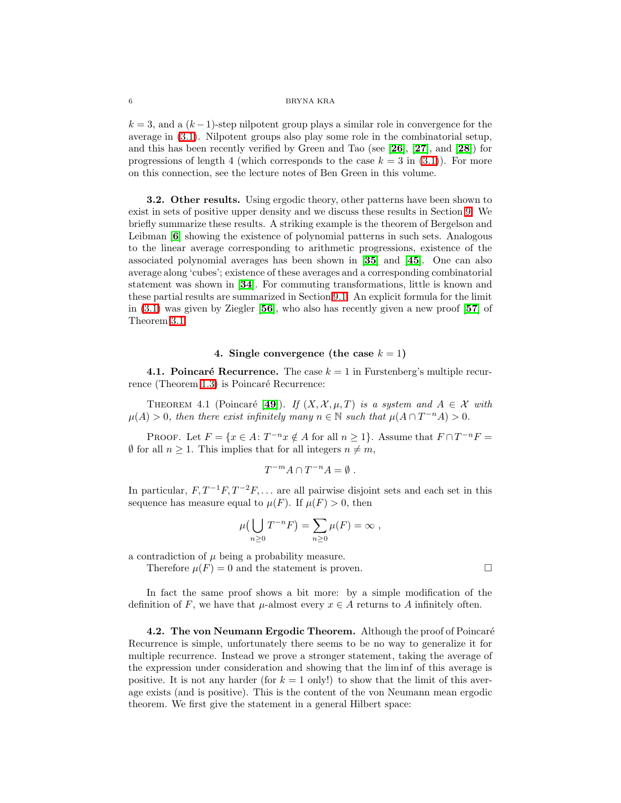$k = 3$ , and a  $(k-1)$ -step nilpotent group plays a similar role in convergence for the average in [\(3.1\)](#page-4-0). Nilpotent groups also play some role in the combinatorial setup, and this has been recently verified by Green and Tao (see [[26](#page-36-8)], [[27](#page-36-9)], and [[28](#page-36-10)]) for progressions of length 4 (which corresponds to the case  $k = 3$  in [\(3.1\)](#page-4-0)). For more on this connection, see the lecture notes of Ben Green in this volume.

3.2. Other results. Using ergodic theory, other patterns have been shown to exist in sets of positive upper density and we discuss these results in Section [9.](#page-26-0) We briefly summarize these results. A striking example is the theorem of Bergelson and Leibman [[6](#page-35-3)] showing the existence of polynomial patterns in such sets. Analogous to the linear average corresponding to arithmetic progressions, existence of the associated polynomial averages has been shown in [[35](#page-36-11)] and [[45](#page-37-1)]. One can also average along 'cubes'; existence of these averages and a corresponding combinatorial statement was shown in [[34](#page-36-4)]. For commuting transformations, little is known and these partial results are summarized in Section [9.1.](#page-26-1) An explicit formula for the limit in  $(3.1)$  was given by Ziegler [[56](#page-37-2)], who also has recently given a new proof [[57](#page-37-3)] of Theorem [3.1.](#page-4-1)

# 4. Single convergence (the case  $k = 1$ )

4.1. Poincaré Recurrence. The case  $k = 1$  in Furstenberg's multiple recur-rence (Theorem [1.3\)](#page-1-1) is Poincaré Recurrence:

THEOREM 4.1 (Poincaré [[49](#page-37-4)]). If  $(X, \mathcal{X}, \mu, T)$  is a system and  $A \in \mathcal{X}$  with  $\mu(A) > 0$ , then there exist infinitely many  $n \in \mathbb{N}$  such that  $\mu(A \cap T^{-n}A) > 0$ .

PROOF. Let  $F = \{x \in A : T^{-n}x \notin A \text{ for all } n \ge 1\}$ . Assume that  $F \cap T^{-n}F =$  $\emptyset$  for all  $n > 1$ . This implies that for all integers  $n \neq m$ ,

$$
T^{-m}A\cap T^{-n}A=\emptyset .
$$

In particular,  $F, T^{-1}F, T^{-2}F, \ldots$  are all pairwise disjoint sets and each set in this sequence has measure equal to  $\mu(F)$ . If  $\mu(F) > 0$ , then

$$
\mu\left(\bigcup_{n\geq 0} T^{-n}F\right) = \sum_{n\geq 0} \mu(F) = \infty ,
$$

a contradiction of  $\mu$  being a probability measure.

Therefore  $\mu(F) = 0$  and the statement is proven.

In fact the same proof shows a bit more: by a simple modification of the definition of F, we have that  $\mu$ -almost every  $x \in A$  returns to A infinitely often.

<span id="page-5-1"></span><span id="page-5-0"></span>4.2. The von Neumann Ergodic Theorem. Although the proof of Poincaré Recurrence is simple, unfortunately there seems to be no way to generalize it for multiple recurrence. Instead we prove a stronger statement, taking the average of the expression under consideration and showing that the lim inf of this average is positive. It is not any harder (for  $k = 1$  only!) to show that the limit of this average exists (and is positive). This is the content of the von Neumann mean ergodic theorem. We first give the statement in a general Hilbert space: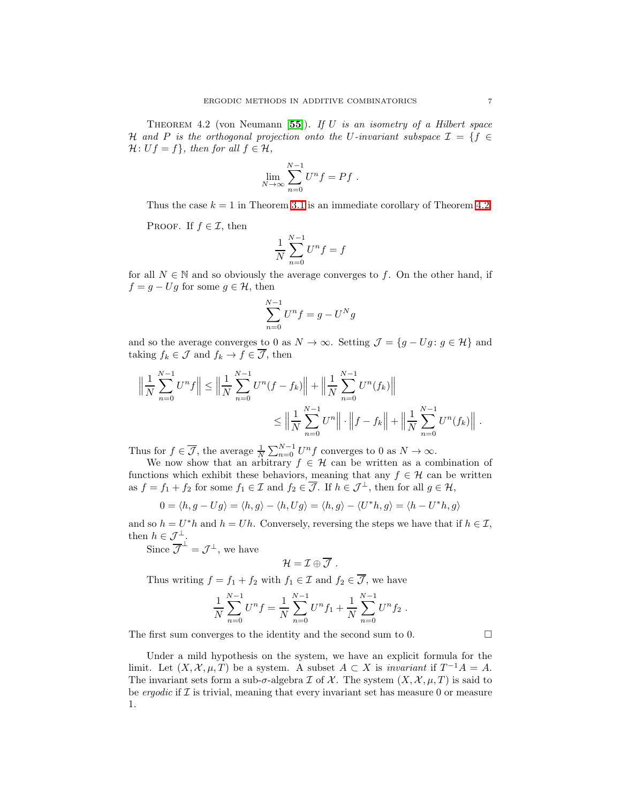THEOREM 4.2 (von Neumann [[55](#page-37-5)]). If U is an isometry of a Hilbert space H and P is the orthogonal projection onto the U-invariant subspace  $\mathcal{I} = \{f \in$  $\mathcal{H}: Uf = f$ , then for all  $f \in \mathcal{H}$ ,

$$
\lim_{N \to \infty} \sum_{n=0}^{N-1} U^n f = Pf.
$$

Thus the case  $k = 1$  in Theorem [3.1](#page-4-1) is an immediate corollary of Theorem [4.2.](#page-5-1)

PROOF. If  $f \in \mathcal{I}$ , then

$$
\frac{1}{N}\sum_{n=0}^{N-1}U^nf=f
$$

for all  $N \in \mathbb{N}$  and so obviously the average converges to f. On the other hand, if  $f = g - Ug$  for some  $g \in \mathcal{H}$ , then

$$
\sum_{n=0}^{N-1} U^n f = g - U^N g
$$

and so the average converges to 0 as  $N \to \infty$ . Setting  $\mathcal{J} = \{g - Ug : g \in \mathcal{H}\}\$ and taking  $f_k \in \mathcal{J}$  and  $f_k \to f \in \overline{\mathcal{J}}$ , then

$$
\left\| \frac{1}{N} \sum_{n=0}^{N-1} U^n f \right\| \le \left\| \frac{1}{N} \sum_{n=0}^{N-1} U^n (f - f_k) \right\| + \left\| \frac{1}{N} \sum_{n=0}^{N-1} U^n (f_k) \right\|
$$
  

$$
\le \left\| \frac{1}{N} \sum_{n=0}^{N-1} U^n \right\| \cdot \left\| f - f_k \right\| + \left\| \frac{1}{N} \sum_{n=0}^{N-1} U^n (f_k) \right\|.
$$

Thus for  $f \in \overline{\mathcal{J}}$ , the average  $\frac{1}{N} \sum_{n=0}^{N-1} U^n f$  converges to 0 as  $N \to \infty$ .

We now show that an arbitrary  $f \in \mathcal{H}$  can be written as a combination of functions which exhibit these behaviors, meaning that any  $f \in \mathcal{H}$  can be written as  $f = f_1 + f_2$  for some  $f_1 \in \mathcal{I}$  and  $f_2 \in \overline{\mathcal{J}}$ . If  $h \in \mathcal{J}^{\perp}$ , then for all  $g \in \mathcal{H}$ ,

$$
0 = \langle h, g - Ug \rangle = \langle h, g \rangle - \langle h, Ug \rangle = \langle h, g \rangle - \langle U^*h, g \rangle = \langle h - U^*h, g \rangle
$$

and so  $h = U^*h$  and  $h = Uh$ . Conversely, reversing the steps we have that if  $h \in \mathcal{I}$ , then  $h \in \mathcal{J}_{\perp}^{\perp}$ .

Since  $\overline{\mathcal{J}}^{\perp} = \mathcal{J}^{\perp}$ , we have

$$
\mathcal{H}=\mathcal{I}\oplus\overline{\mathcal{J}}.
$$

Thus writing  $f = f_1 + f_2$  with  $f_1 \in \mathcal{I}$  and  $f_2 \in \mathcal{J}$ , we have

$$
\frac{1}{N}\sum_{n=0}^{N-1}U^{n}f=\frac{1}{N}\sum_{n=0}^{N-1}U^{n}f_{1}+\frac{1}{N}\sum_{n=0}^{N-1}U^{n}f_{2}.
$$

The first sum converges to the identity and the second sum to 0.  $\Box$ 

Under a mild hypothesis on the system, we have an explicit formula for the limit. Let  $(X, \mathcal{X}, \mu, T)$  be a system. A subset  $A \subset X$  is *invariant* if  $T^{-1}A = A$ . The invariant sets form a sub- $\sigma$ -algebra  $\mathcal I$  of  $\mathcal X$ . The system  $(X, \mathcal X, \mu, T)$  is said to be *ergodic* if  $I$  is trivial, meaning that every invariant set has measure 0 or measure 1.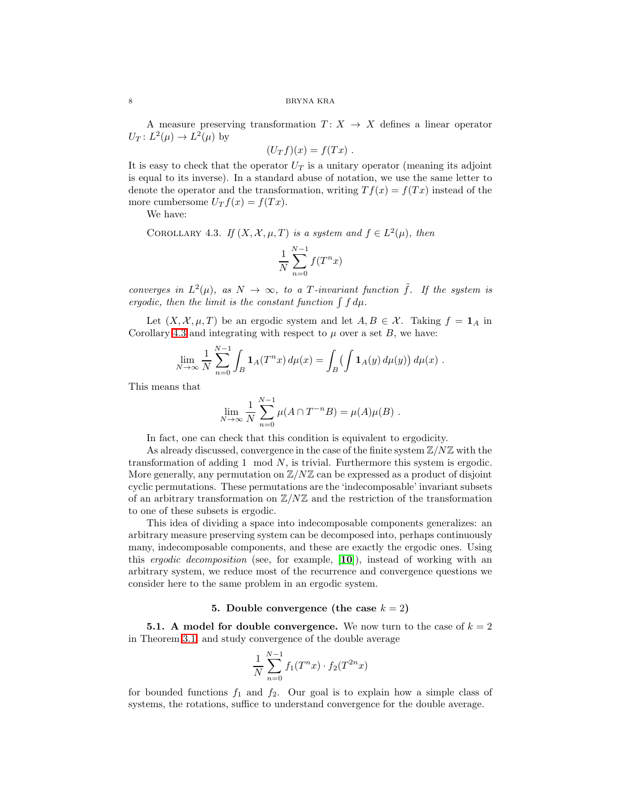A measure preserving transformation  $T: X \rightarrow X$  defines a linear operator  $U_T: L^2(\mu) \to L^2(\mu)$  by

$$
(U_Tf)(x) = f(Tx) .
$$

<span id="page-7-0"></span>It is easy to check that the operator  $U_T$  is a unitary operator (meaning its adjoint is equal to its inverse). In a standard abuse of notation, we use the same letter to denote the operator and the transformation, writing  $Tf(x) = f(Tx)$  instead of the more cumbersome  $U_T f(x) = f(Tx)$ .

We have:

COROLLARY 4.3. If  $(X, \mathcal{X}, \mu, T)$  is a system and  $f \in L^2(\mu)$ , then

$$
\frac{1}{N} \sum_{n=0}^{N-1} f(T^n x)
$$

converges in  $L^2(\mu)$ , as  $N \to \infty$ , to a T-invariant function  $\tilde{f}$ . If the system is ergodic, then the limit is the constant function  $\int f d\mu$ .

Let  $(X, \mathcal{X}, \mu, T)$  be an ergodic system and let  $A, B \in \mathcal{X}$ . Taking  $f = \mathbf{1}_A$  in Corollary [4.3](#page-7-0) and integrating with respect to  $\mu$  over a set  $B$ , we have:

$$
\lim_{N \to \infty} \frac{1}{N} \sum_{n=0}^{N-1} \int_B \mathbf{1}_A(T^n x) \, d\mu(x) = \int_B \left( \int \mathbf{1}_A(y) \, d\mu(y) \right) d\mu(x) \; .
$$

This means that

$$
\lim_{N \to \infty} \frac{1}{N} \sum_{n=0}^{N-1} \mu(A \cap T^{-n}B) = \mu(A)\mu(B) .
$$

In fact, one can check that this condition is equivalent to ergodicity.

As already discussed, convergence in the case of the finite system  $\mathbb{Z}/N\mathbb{Z}$  with the transformation of adding 1 mod N, is trivial. Furthermore this system is ergodic. More generally, any permutation on  $\mathbb{Z}/N\mathbb{Z}$  can be expressed as a product of disjoint cyclic permutations. These permutations are the 'indecomposable' invariant subsets of an arbitrary transformation on  $\mathbb{Z}/N\mathbb{Z}$  and the restriction of the transformation to one of these subsets is ergodic.

This idea of dividing a space into indecomposable components generalizes: an arbitrary measure preserving system can be decomposed into, perhaps continuously many, indecomposable components, and these are exactly the ergodic ones. Using this ergodic decomposition (see, for example, [[10](#page-35-4)]), instead of working with an arbitrary system, we reduce most of the recurrence and convergence questions we consider here to the same problem in an ergodic system.

# 5. Double convergence (the case  $k = 2$ )

**5.1.** A model for double convergence. We now turn to the case of  $k = 2$ in Theorem [3.1,](#page-4-1) and study convergence of the double average

$$
\frac{1}{N} \sum_{n=0}^{N-1} f_1(T^n x) \cdot f_2(T^{2n} x)
$$

for bounded functions  $f_1$  and  $f_2$ . Our goal is to explain how a simple class of systems, the rotations, suffice to understand convergence for the double average.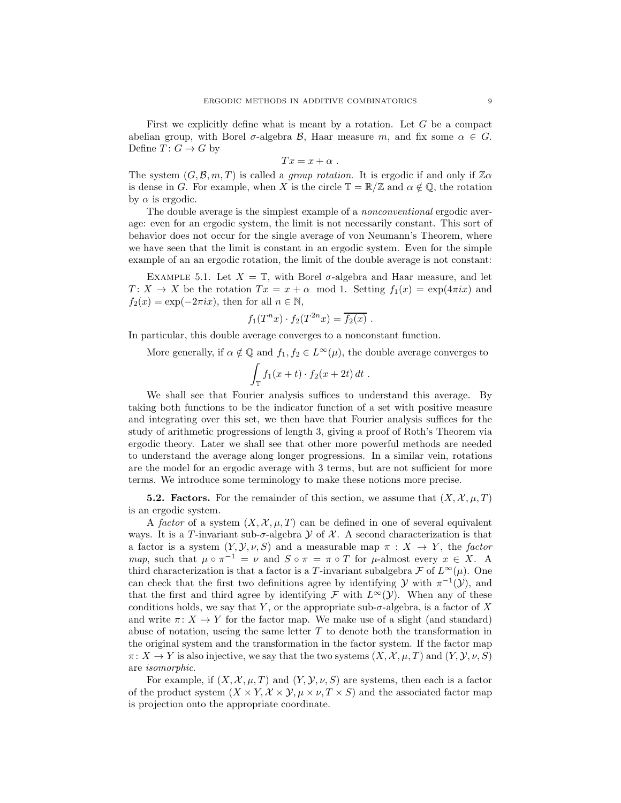First we explicitly define what is meant by a rotation. Let  $G$  be a compact abelian group, with Borel  $\sigma$ -algebra  $\mathcal{B}$ , Haar measure m, and fix some  $\alpha \in G$ . Define  $T\colon G\to G$  by

$$
Tx = x + \alpha .
$$

The system  $(G, \mathcal{B}, m, T)$  is called a group rotation. It is ergodic if and only if  $\mathbb{Z}\alpha$ is dense in G. For example, when X is the circle  $\mathbb{T} = \mathbb{R}/\mathbb{Z}$  and  $\alpha \notin \mathbb{Q}$ , the rotation by  $\alpha$  is ergodic.

The double average is the simplest example of a *nonconventional* ergodic average: even for an ergodic system, the limit is not necessarily constant. This sort of behavior does not occur for the single average of von Neumann's Theorem, where we have seen that the limit is constant in an ergodic system. Even for the simple example of an an ergodic rotation, the limit of the double average is not constant:

<span id="page-8-0"></span>EXAMPLE 5.1. Let  $X = \mathbb{T}$ , with Borel  $\sigma$ -algebra and Haar measure, and let  $T: X \to X$  be the rotation  $Tx = x + \alpha \mod 1$ . Setting  $f_1(x) = \exp(4\pi ix)$  and  $f_2(x) = \exp(-2\pi ix)$ , then for all  $n \in \mathbb{N}$ ,

$$
f_1(T^n x) \cdot f_2(T^{2n} x) = \overline{f_2(x)}.
$$

In particular, this double average converges to a nonconstant function.

More generally, if  $\alpha \notin \mathbb{Q}$  and  $f_1, f_2 \in L^{\infty}(\mu)$ , the double average converges to

$$
\int_{\mathbb{T}} f_1(x+t) \cdot f_2(x+2t) dt.
$$

We shall see that Fourier analysis suffices to understand this average. By taking both functions to be the indicator function of a set with positive measure and integrating over this set, we then have that Fourier analysis suffices for the study of arithmetic progressions of length 3, giving a proof of Roth's Theorem via ergodic theory. Later we shall see that other more powerful methods are needed to understand the average along longer progressions. In a similar vein, rotations are the model for an ergodic average with 3 terms, but are not sufficient for more terms. We introduce some terminology to make these notions more precise.

**5.2. Factors.** For the remainder of this section, we assume that  $(X, \mathcal{X}, \mu, T)$ is an ergodic system.

A factor of a system  $(X, \mathcal{X}, \mu, T)$  can be defined in one of several equivalent ways. It is a T-invariant sub- $\sigma$ -algebra  $\mathcal Y$  of  $\mathcal X$ . A second characterization is that a factor is a system  $(Y, Y, \nu, S)$  and a measurable map  $\pi : X \to Y$ , the factor map, such that  $\mu \circ \pi^{-1} = \nu$  and  $S \circ \pi = \pi \circ T$  for  $\mu$ -almost every  $x \in X$ . A third characterization is that a factor is a T-invariant subalgebra  $\mathcal F$  of  $L^{\infty}(\mu)$ . One can check that the first two definitions agree by identifying  $\mathcal Y$  with  $\pi^{-1}(\mathcal Y)$ , and that the first and third agree by identifying  $\mathcal F$  with  $L^{\infty}(\mathcal Y)$ . When any of these conditions holds, we say that Y, or the appropriate sub- $\sigma$ -algebra, is a factor of X and write  $\pi: X \to Y$  for the factor map. We make use of a slight (and standard) abuse of notation, useing the same letter  $T$  to denote both the transformation in the original system and the transformation in the factor system. If the factor map  $\pi: X \to Y$  is also injective, we say that the two systems  $(X, \mathcal{X}, \mu, T)$  and  $(Y, \mathcal{Y}, \nu, S)$ are isomorphic.

For example, if  $(X, \mathcal{X}, \mu, T)$  and  $(Y, \mathcal{Y}, \nu, S)$  are systems, then each is a factor of the product system  $(X \times Y, \mathcal{X} \times \mathcal{Y}, \mu \times \nu, T \times S)$  and the associated factor map is projection onto the appropriate coordinate.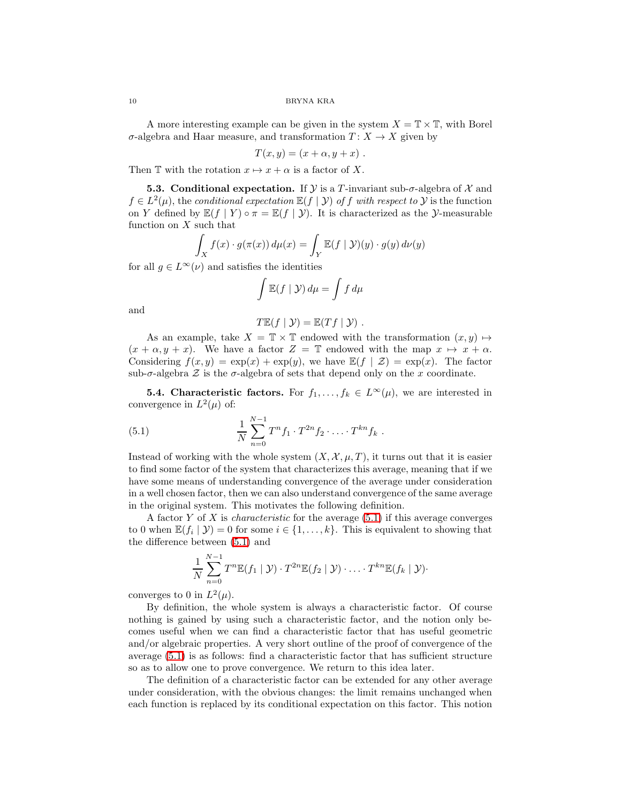A more interesting example can be given in the system  $X = \mathbb{T} \times \mathbb{T}$ , with Borel σ-algebra and Haar measure, and transformation T : X → X given by

$$
T(x,y) = (x + \alpha, y + x) .
$$

Then T with the rotation  $x \mapsto x + \alpha$  is a factor of X.

**5.3. Conditional expectation.** If  $\mathcal{Y}$  is a T-invariant sub- $\sigma$ -algebra of  $\mathcal{X}$  and  $f \in L^2(\mu)$ , the conditional expectation  $\mathbb{E}(f \mid \mathcal{Y})$  of f with respect to  $\mathcal{Y}$  is the function on Y defined by  $\mathbb{E}(f | Y) \circ \pi = \mathbb{E}(f | Y)$ . It is characterized as the Y-measurable function on  $X$  such that

$$
\int_X f(x) \cdot g(\pi(x)) d\mu(x) = \int_Y \mathbb{E}(f \mid \mathcal{Y})(y) \cdot g(y) d\nu(y)
$$

for all  $g \in L^{\infty}(\nu)$  and satisfies the identities

$$
\int \mathbb{E}(f \mid \mathcal{Y}) \, d\mu = \int f \, d\mu
$$

and

$$
T\mathbb{E}(f | \mathcal{Y}) = \mathbb{E}(Tf | \mathcal{Y}).
$$

As an example, take  $X = \mathbb{T} \times \mathbb{T}$  endowed with the transformation  $(x, y) \mapsto$  $(x + \alpha, y + x)$ . We have a factor  $Z = \mathbb{T}$  endowed with the map  $x \mapsto x + \alpha$ . Considering  $f(x, y) = \exp(x) + \exp(y)$ , we have  $\mathbb{E}(f | \mathcal{Z}) = \exp(x)$ . The factor sub- $\sigma$ -algebra  $\mathcal Z$  is the  $\sigma$ -algebra of sets that depend only on the x coordinate.

<span id="page-9-0"></span>**5.4. Characteristic factors.** For  $f_1, \ldots, f_k \in L^{\infty}(\mu)$ , we are interested in convergence in  $L^2(\mu)$  of:

(5.1) 
$$
\frac{1}{N} \sum_{n=0}^{N-1} T^n f_1 \cdot T^{2n} f_2 \cdot \ldots \cdot T^{kn} f_k.
$$

Instead of working with the whole system  $(X, \mathcal{X}, \mu, T)$ , it turns out that it is easier to find some factor of the system that characterizes this average, meaning that if we have some means of understanding convergence of the average under consideration in a well chosen factor, then we can also understand convergence of the same average in the original system. This motivates the following definition.

A factor  $Y$  of  $X$  is *characteristic* for the average  $(5.1)$  if this average converges to 0 when  $\mathbb{E}(f_i | \mathcal{Y}) = 0$  for some  $i \in \{1, ..., k\}$ . This is equivalent to showing that the difference between [\(5.1\)](#page-9-0) and

$$
\frac{1}{N}\sum_{n=0}^{N-1}T^{n}\mathbb{E}(f_1\mid \mathcal{Y})\cdot T^{2n}\mathbb{E}(f_2\mid \mathcal{Y})\cdot\ldots\cdot T^{kn}\mathbb{E}(f_k\mid \mathcal{Y})\cdot
$$

converges to 0 in  $L^2(\mu)$ .

By definition, the whole system is always a characteristic factor. Of course nothing is gained by using such a characteristic factor, and the notion only becomes useful when we can find a characteristic factor that has useful geometric and/or algebraic properties. A very short outline of the proof of convergence of the average [\(5.1\)](#page-9-0) is as follows: find a characteristic factor that has sufficient structure so as to allow one to prove convergence. We return to this idea later.

The definition of a characteristic factor can be extended for any other average under consideration, with the obvious changes: the limit remains unchanged when each function is replaced by its conditional expectation on this factor. This notion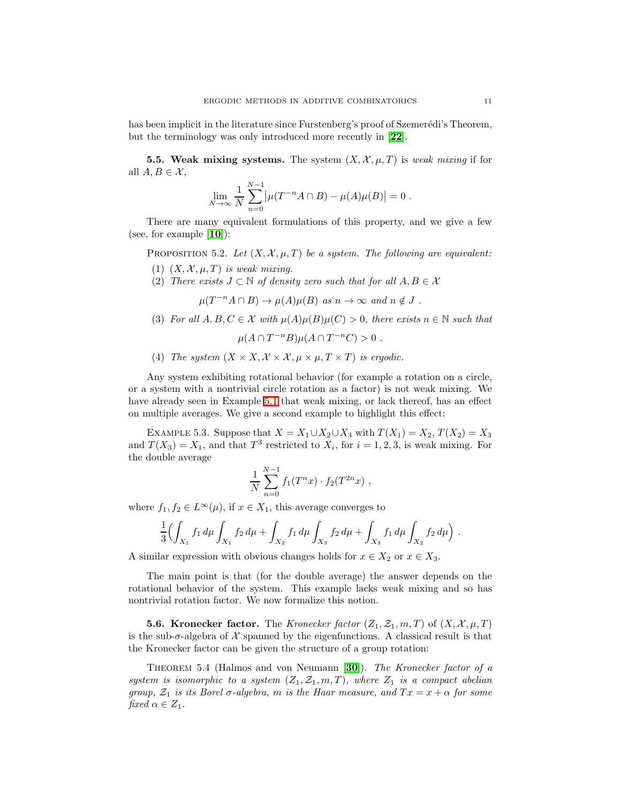has been implicit in the literature since Furstenberg's proof of Szemerédi's Theorem, but the terminology was only introduced more recently in [[22](#page-36-2)].

<span id="page-10-0"></span>**5.5. Weak mixing systems.** The system  $(X, \mathcal{X}, \mu, T)$  is weak mixing if for all  $A, B \in \mathcal{X}$ ,

$$
\lim_{N \to \infty} \frac{1}{N} \sum_{n=0}^{N-1} |\mu(T^{-n} A \cap B) - \mu(A)\mu(B)| = 0.
$$

There are many equivalent formulations of this property, and we give a few (see, for example  $[10]$  $[10]$  $[10]$ ):

PROPOSITION 5.2. Let  $(X, \mathcal{X}, \mu, T)$  be a system. The following are equivalent:

- (1)  $(X, \mathcal{X}, \mu, T)$  is weak mixing.
- (2) There exists  $J \subset \mathbb{N}$  of density zero such that for all  $A, B \in \mathcal{X}$

 $\mu(T^{-n}A \cap B) \to \mu(A)\mu(B)$  as  $n \to \infty$  and  $n \notin J$ .

(3) For all  $A, B, C \in \mathcal{X}$  with  $\mu(A)\mu(B)\mu(C) > 0$ , there exists  $n \in \mathbb{N}$  such that

$$
\mu(A\cap T^{-n}B)\mu(A\cap T^{-n}C)>0.
$$

(4) The system  $(X \times X, \mathcal{X} \times \mathcal{X}, \mu \times \mu, T \times T)$  is ergodic.

Any system exhibiting rotational behavior (for example a rotation on a circle, or a system with a nontrivial circle rotation as a factor) is not weak mixing. We have already seen in Example [5.1](#page-8-0) that weak mixing, or lack thereof, has an effect on multiple averages. We give a second example to highlight this effect:

EXAMPLE 5.3. Suppose that  $X = X_1 \cup X_2 \cup X_3$  with  $T(X_1) = X_2, T(X_2) = X_3$ and  $T(X_3) = X_1$ , and that  $T^3$  restricted to  $X_i$ , for  $i = 1, 2, 3$ , is weak mixing. For the double average

$$
\frac{1}{N} \sum_{n=0}^{N-1} f_1(T^n x) \cdot f_2(T^{2n} x) ,
$$

where  $f_1, f_2 \in L^{\infty}(\mu)$ , if  $x \in X_1$ , this average converges to

$$
\frac{1}{3} \Bigl( \int_{X_1} f_1 \, d\mu \int_{X_1} f_2 \, d\mu + \int_{X_2} f_1 \, d\mu \int_{X_3} f_2 \, d\mu + \int_{X_3} f_1 \, d\mu \int_{X_2} f_2 \, d\mu \Bigr) \ .
$$

A similar expression with obvious changes holds for  $x \in X_2$  or  $x \in X_3$ .

The main point is that (for the double average) the answer depends on the rotational behavior of the system. This example lacks weak mixing and so has nontrivial rotation factor. We now formalize this notion.

**5.6. Kronecker factor.** The Kronecker factor  $(Z_1, Z_1, m, T)$  of  $(X, \mathcal{X}, \mu, T)$ is the sub- $\sigma$ -algebra of X spanned by the eigenfunctions. A classical result is that the Kronecker factor can be given the structure of a group rotation:

THEOREM 5.4 (Halmos and von Neumann [[30](#page-36-12)]). The Kronecker factor of a system is isomorphic to a system  $(Z_1, \mathcal{Z}_1, m, T)$ , where  $Z_1$  is a compact abelian group,  $\mathcal{Z}_1$  is its Borel  $\sigma$ -algebra, m is the Haar measure, and  $Tx = x + \alpha$  for some fixed  $\alpha \in Z_1$ .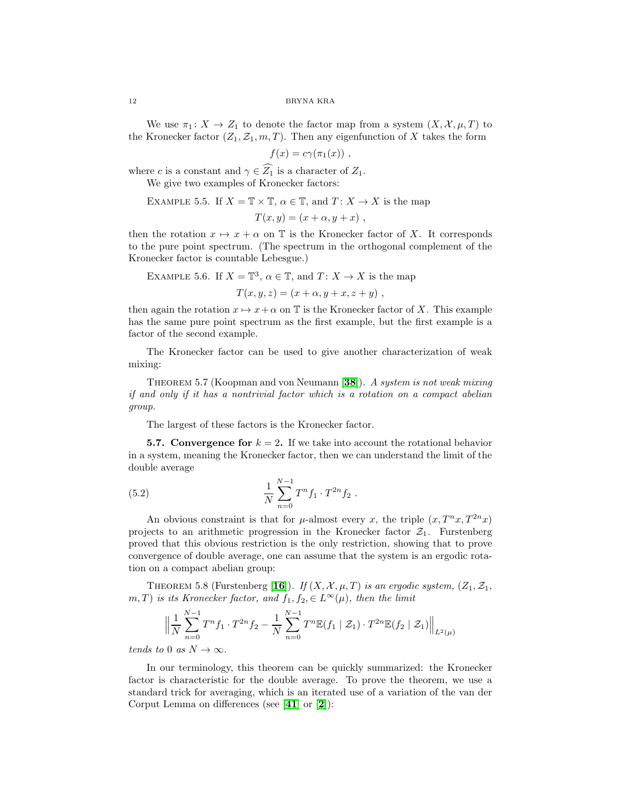We use  $\pi_1: X \to Z_1$  to denote the factor map from a system  $(X, \mathcal{X}, \mu, T)$  to the Kronecker factor  $(Z_1, Z_1, m, T)$ . Then any eigenfunction of X takes the form

$$
f(x) = c\gamma(\pi_1(x)) ,
$$

where c is a constant and  $\gamma \in \widehat{Z_1}$  is a character of  $Z_1$ .

We give two examples of Kronecker factors:

EXAMPLE 5.5. If 
$$
X = \mathbb{T} \times \mathbb{T}
$$
,  $\alpha \in \mathbb{T}$ , and  $T: X \to X$  is the map

$$
T(x,y) = (x + \alpha, y + x) ,
$$

then the rotation  $x \mapsto x + \alpha$  on T is the Kronecker factor of X. It corresponds to the pure point spectrum. (The spectrum in the orthogonal complement of the Kronecker factor is countable Lebesgue.)

EXAMPLE 5.6. If  $X = \mathbb{T}^3$ ,  $\alpha \in \mathbb{T}$ , and  $T: X \to X$  is the map

$$
T(x, y, z) = (x + \alpha, y + x, z + y) ,
$$

then again the rotation  $x \mapsto x+\alpha$  on T is the Kronecker factor of X. This example has the same pure point spectrum as the first example, but the first example is a factor of the second example.

The Kronecker factor can be used to give another characterization of weak mixing:

THEOREM 5.7 (Koopman and von Neumann [[38](#page-36-13)]). A system is not weak mixing if and only if it has a nontrivial factor which is a rotation on a compact abelian group.

The largest of these factors is the Kronecker factor.

<span id="page-11-2"></span><span id="page-11-1"></span>**5.7.** Convergence for  $k = 2$ . If we take into account the rotational behavior in a system, meaning the Kronecker factor, then we can understand the limit of the double average

(5.2) 
$$
\frac{1}{N} \sum_{n=0}^{N-1} T^n f_1 \cdot T^{2n} f_2.
$$

An obvious constraint is that for  $\mu$ -almost every x, the triple  $(x, T^n x, T^{2n} x)$ projects to an arithmetic progression in the Kronecker factor  $\mathcal{Z}_1$ . Furstenberg proved that this obvious restriction is the only restriction, showing that to prove convergence of double average, one can assume that the system is an ergodic rotation on a compact abelian group:

<span id="page-11-0"></span>THEOREM 5.8 (Furstenberg [[16](#page-36-0)]). If  $(X, \mathcal{X}, \mu, T)$  is an ergodic system,  $(Z_1, Z_1,$ m, T) is its Kronecker factor, and  $f_1, f_2, \in L^{\infty}(\mu)$ , then the limit

$$
\left\| \frac{1}{N} \sum_{n=0}^{N-1} T^n f_1 \cdot T^{2n} f_2 - \frac{1}{N} \sum_{n=0}^{N-1} T^n \mathbb{E}(f_1 \mid \mathcal{Z}_1) \cdot T^{2n} \mathbb{E}(f_2 \mid \mathcal{Z}_1) \right\|_{L^2(\mu)}
$$

tends to 0 as  $N \to \infty$ .

<span id="page-11-3"></span>In our terminology, this theorem can be quickly summarized: the Kronecker factor is characteristic for the double average. To prove the theorem, we use a standard trick for averaging, which is an iterated use of a variation of the van der Corput Lemma on differences (see [[41](#page-36-14)] or [[2](#page-35-5)]):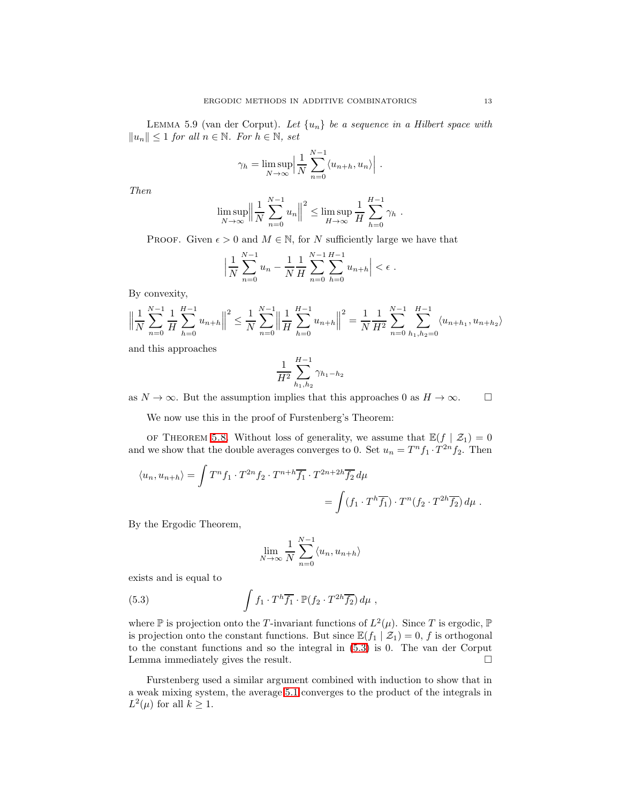LEMMA 5.9 (van der Corput). Let  $\{u_n\}$  be a sequence in a Hilbert space with  $||u_n|| \leq 1$  for all  $n \in \mathbb{N}$ . For  $h \in \mathbb{N}$ , set

$$
\gamma_h = \limsup_{N \to \infty} \left| \frac{1}{N} \sum_{n=0}^{N-1} \langle u_{n+h}, u_n \rangle \right|.
$$

Then

$$
\limsup_{N \to \infty} \left\| \frac{1}{N} \sum_{n=0}^{N-1} u_n \right\|^2 \le \limsup_{H \to \infty} \frac{1}{H} \sum_{h=0}^{H-1} \gamma_h.
$$

PROOF. Given  $\epsilon > 0$  and  $M \in \mathbb{N}$ , for N sufficiently large we have that

$$
\left|\frac{1}{N}\sum_{n=0}^{N-1}u_n - \frac{1}{N}\frac{1}{H}\sum_{n=0}^{N-1}\sum_{h=0}^{H-1}u_{n+h}\right| < \epsilon.
$$

By convexity,

$$
\left\|\frac{1}{N}\sum_{n=0}^{N-1}\frac{1}{H}\sum_{h=0}^{H-1}u_{n+h}\right\|^2 \le \frac{1}{N}\sum_{n=0}^{N-1}\left\|\frac{1}{H}\sum_{h=0}^{H-1}u_{n+h}\right\|^2 = \frac{1}{N}\frac{1}{H^2}\sum_{n=0}^{N-1}\sum_{h_1,h_2=0}^{H-1}\langle u_{n+h_1}, u_{n+h_2}\rangle
$$

and this approaches

$$
\frac{1}{H^2} \sum_{h_1, h_2}^{H-1} \gamma_{h_1-h_2}
$$

as  $N \to \infty$ . But the assumption implies that this approaches 0 as  $H \to \infty$ .  $\Box$ 

We now use this in the proof of Furstenberg's Theorem:

OF THEOREM [5.8.](#page-11-0) Without loss of generality, we assume that  $\mathbb{E}(f | \mathcal{Z}_1) = 0$ and we show that the double averages converges to 0. Set  $u_n = T^n f_1 \cdot T^{2n} f_2$ . Then

$$
\langle u_n, u_{n+h} \rangle = \int T^n f_1 \cdot T^{2n} f_2 \cdot T^{n+h} \overline{f_1} \cdot T^{2n+2h} \overline{f_2} d\mu
$$
  
= 
$$
\int (f_1 \cdot T^h \overline{f_1}) \cdot T^n (f_2 \cdot T^{2h} \overline{f_2}) d\mu.
$$

By the Ergodic Theorem,

$$
\lim_{N \to \infty} \frac{1}{N} \sum_{n=0}^{N-1} \langle u_n, u_{n+h} \rangle
$$

<span id="page-12-0"></span>exists and is equal to

(5.3) 
$$
\int f_1 \cdot T^h \overline{f_1} \cdot \mathbb{P}(f_2 \cdot T^{2h} \overline{f_2}) d\mu,
$$

where  $\mathbb P$  is projection onto the T-invariant functions of  $L^2(\mu)$ . Since T is ergodic,  $\mathbb P$ is projection onto the constant functions. But since  $\mathbb{E}(f_1 | \mathcal{Z}_1) = 0$ , f is orthogonal to the constant functions and so the integral in [\(5.3\)](#page-12-0) is 0. The van der Corput Lemma immediately gives the result.

Furstenberg used a similar argument combined with induction to show that in a weak mixing system, the average [5.1](#page-9-0) converges to the product of the integrals in  $L^2(\mu)$  for all  $k \geq 1$ .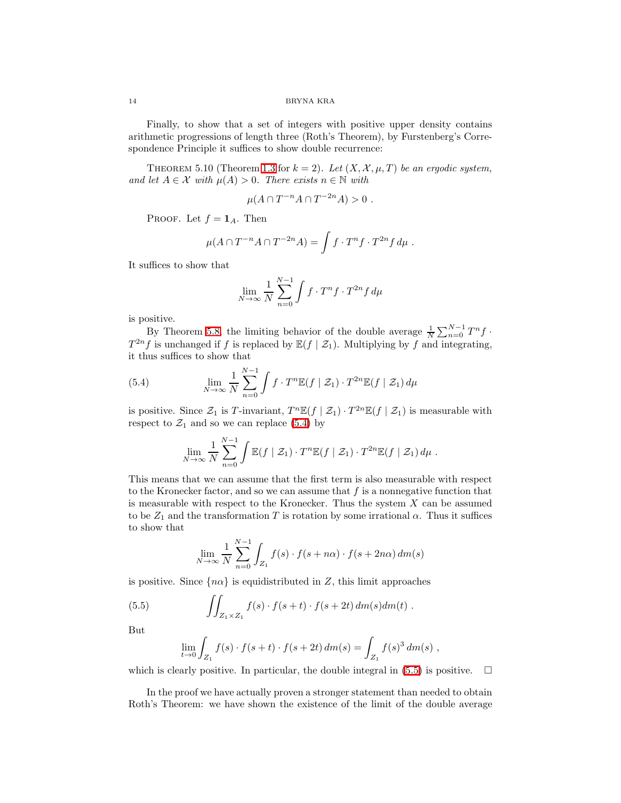Finally, to show that a set of integers with positive upper density contains arithmetic progressions of length three (Roth's Theorem), by Furstenberg's Correspondence Principle it suffices to show double recurrence:

THEOREM 5.10 (Theorem [1.3](#page-1-1) for  $k = 2$ ). Let  $(X, \mathcal{X}, \mu, T)$  be an ergodic system, and let  $A \in \mathcal{X}$  with  $\mu(A) > 0$ . There exists  $n \in \mathbb{N}$  with

$$
\mu(A \cap T^{-n}A \cap T^{-2n}A) > 0.
$$

PROOF. Let  $f = \mathbf{1}_A$ . Then

$$
\mu(A \cap T^{-n}A \cap T^{-2n}A) = \int f \cdot T^n f \cdot T^{2n} f d\mu.
$$

It suffices to show that

$$
\lim_{N \to \infty} \frac{1}{N} \sum_{n=0}^{N-1} \int f \cdot T^n f \cdot T^{2n} f \, d\mu
$$

is positive.

<span id="page-13-0"></span>By Theorem [5.8,](#page-11-0) the limiting behavior of the double average  $\frac{1}{N} \sum_{n=0}^{N-1} T^n f$ .  $T^{2n}$ f is unchanged if f is replaced by  $\mathbb{E}(f \mid \mathcal{Z}_1)$ . Multiplying by f and integrating, it thus suffices to show that

(5.4) 
$$
\lim_{N \to \infty} \frac{1}{N} \sum_{n=0}^{N-1} \int f \cdot T^n \mathbb{E}(f \mid \mathcal{Z}_1) \cdot T^{2n} \mathbb{E}(f \mid \mathcal{Z}_1) d\mu
$$

is positive. Since  $\mathcal{Z}_1$  is T-invariant,  $T^n \mathbb{E}(f | \mathcal{Z}_1) \cdot T^{2n} \mathbb{E}(f | \mathcal{Z}_1)$  is measurable with respect to  $\mathcal{Z}_1$  and so we can replace [\(5.4\)](#page-13-0) by

$$
\lim_{N \to \infty} \frac{1}{N} \sum_{n=0}^{N-1} \int \mathbb{E}(f \mid \mathcal{Z}_1) \cdot T^n \mathbb{E}(f \mid \mathcal{Z}_1) \cdot T^{2n} \mathbb{E}(f \mid \mathcal{Z}_1) d\mu.
$$

This means that we can assume that the first term is also measurable with respect to the Kronecker factor, and so we can assume that  $f$  is a nonnegative function that is measurable with respect to the Kronecker. Thus the system  $X$  can be assumed to be  $Z_1$  and the transformation T is rotation by some irrational  $\alpha$ . Thus it suffices to show that

<span id="page-13-1"></span>
$$
\lim_{N \to \infty} \frac{1}{N} \sum_{n=0}^{N-1} \int_{Z_1} f(s) \cdot f(s + n\alpha) \cdot f(s + 2n\alpha) dm(s)
$$

is positive. Since  $\{n\alpha\}$  is equidistributed in Z, this limit approaches

(5.5) 
$$
\iint_{Z_1 \times Z_1} f(s) \cdot f(s+t) \cdot f(s+2t) dm(s) dm(t) .
$$

But

$$
\lim_{t \to 0} \int_{Z_1} f(s) \cdot f(s+t) \cdot f(s+2t) \, dm(s) = \int_{Z_1} f(s)^3 \, dm(s) ,
$$

which is clearly positive. In particular, the double integral in  $(5.5)$  is positive.  $\Box$ 

In the proof we have actually proven a stronger statement than needed to obtain Roth's Theorem: we have shown the existence of the limit of the double average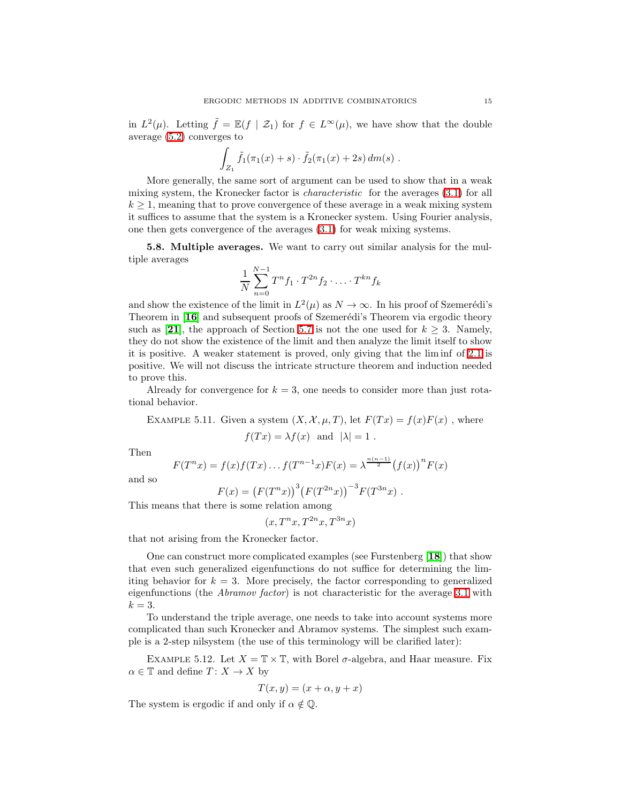in  $L^2(\mu)$ . Letting  $\tilde{f} = \mathbb{E}(f \mid \mathcal{Z}_1)$  for  $f \in L^{\infty}(\mu)$ , we have show that the double average [\(5.2\)](#page-11-1) converges to

$$
\int_{Z_1} \tilde{f}_1(\pi_1(x) + s) \cdot \tilde{f}_2(\pi_1(x) + 2s) dm(s) .
$$

More generally, the same sort of argument can be used to show that in a weak mixing system, the Kronecker factor is characteristic for the averages [\(3.1\)](#page-4-0) for all  $k \geq 1$ , meaning that to prove convergence of these average in a weak mixing system it suffices to assume that the system is a Kronecker system. Using Fourier analysis, one then gets convergence of the averages [\(3.1\)](#page-4-0) for weak mixing systems.

<span id="page-14-0"></span>5.8. Multiple averages. We want to carry out similar analysis for the multiple averages

$$
\frac{1}{N} \sum_{n=0}^{N-1} T^n f_1 \cdot T^{2n} f_2 \cdot \ldots \cdot T^{kn} f_k
$$

and show the existence of the limit in  $L^2(\mu)$  as  $N \to \infty$ . In his proof of Szemerédi's Theorem in [[16](#page-36-0)] and subsequent proofs of Szemerédi's Theorem via ergodic theory such as [[21](#page-36-15)], the approach of Section [5.7](#page-11-2) is not the one used for  $k \geq 3$ . Namely, they do not show the existence of the limit and then analyze the limit itself to show it is positive. A weaker statement is proved, only giving that the lim inf of [2.1](#page-2-1) is positive. We will not discuss the intricate structure theorem and induction needed to prove this.

Already for convergence for  $k = 3$ , one needs to consider more than just rotational behavior.

EXAMPLE 5.11. Given a system  $(X, \mathcal{X}, \mu, T)$ , let  $F(Tx) = f(x)F(x)$ , where  $f(Tx) = \lambda f(x)$  and  $|\lambda| = 1$ .

Then

$$
F(T^{n}x) = f(x)f(Tx)...f(T^{n-1}x)F(x) = \lambda^{\frac{n(n-1)}{2}}(f(x))^{n}F(x)
$$

and so

$$
F(x) = (F(T^n x))^3 (F(T^{2n} x))^{-3} F(T^{3n} x) .
$$

This means that there is some relation among

$$
(x, T^n x, T^{2n} x, T^{3n} x)
$$

that not arising from the Kronecker factor.

One can construct more complicated examples (see Furstenberg [[18](#page-36-16)]) that show that even such generalized eigenfunctions do not suffice for determining the limiting behavior for  $k = 3$ . More precisely, the factor corresponding to generalized eigenfunctions (the *Abramov factor*) is not characteristic for the average [3.1](#page-4-0) with  $k=3$ .

To understand the triple average, one needs to take into account systems more complicated than such Kronecker and Abramov systems. The simplest such example is a 2-step nilsystem (the use of this terminology will be clarified later):

EXAMPLE 5.12. Let  $X = \mathbb{T} \times \mathbb{T}$ , with Borel  $\sigma$ -algebra, and Haar measure. Fix  $\alpha \in \mathbb{T}$  and define  $T: X \to X$  by

$$
T(x, y) = (x + \alpha, y + x)
$$

The system is ergodic if and only if  $\alpha \notin \mathbb{Q}$ .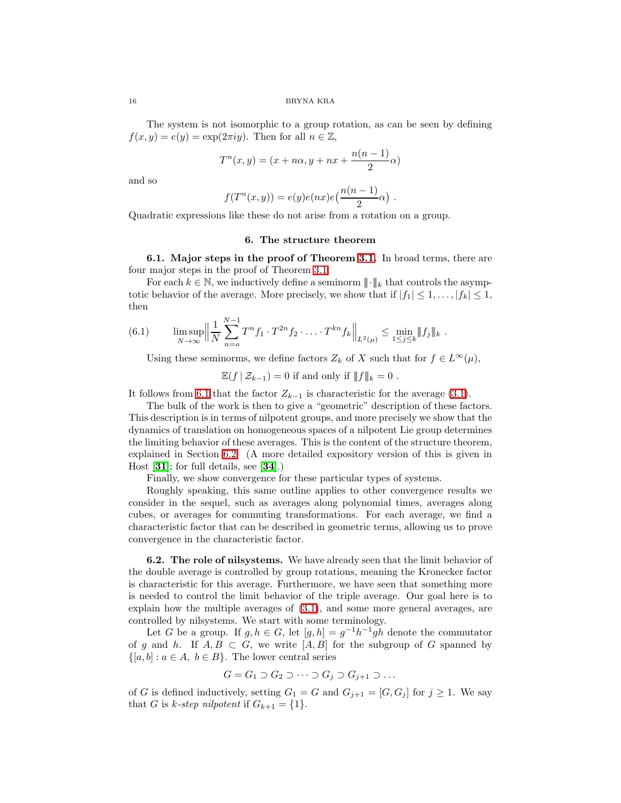The system is not isomorphic to a group rotation, as can be seen by defining  $f(x, y) = e(y) = \exp(2\pi iy)$ . Then for all  $n \in \mathbb{Z}$ ,

$$
T^n(x,y) = (x + n\alpha, y + nx + \frac{n(n-1)}{2}\alpha)
$$

and so

$$
f(T^{n}(x, y)) = e(y)e(nx)e\left(\frac{n(n-1)}{2}\alpha\right)
$$

.

Quadratic expressions like these do not arise from a rotation on a group.

### 6. The structure theorem

6.1. Major steps in the proof of Theorem [3.1.](#page-4-1) In broad terms, there are four major steps in the proof of Theorem [3.1.](#page-4-1)

<span id="page-15-0"></span>For each  $k \in \mathbb{N}$ , we inductively define a seminorm  $\|\cdot\|_k$  that controls the asymptotic behavior of the average. More precisely, we show that if  $|f_1| \leq 1, \ldots, |f_k| \leq 1$ , then

(6.1) 
$$
\limsup_{N \to \infty} \left\| \frac{1}{N} \sum_{n=0}^{N-1} T^n f_1 \cdot T^{2n} f_2 \cdot \ldots \cdot T^{kn} f_k \right\|_{L^2(\mu)} \leq \min_{1 \leq j \leq k} \|f_j\|_k.
$$

Using these seminorms, we define factors  $Z_k$  of X such that for  $f \in L^{\infty}(\mu)$ ,

 $\mathbb{E}(f | \mathcal{Z}_{k-1}) = 0$  if and only if  $|| f ||_k = 0$ .

It follows from [6.1](#page-15-0) that the factor  $Z_{k-1}$  is characteristic for the average [\(3.1\)](#page-4-0).

The bulk of the work is then to give a "geometric" description of these factors. This description is in terms of nilpotent groups, and more precisely we show that the dynamics of translation on homogeneous spaces of a nilpotent Lie group determines the limiting behavior of these averages. This is the content of the structure theorem, explained in Section [6.2.](#page-15-1) (A more detailed expository version of this is given in Host  $[31]$  $[31]$  $[31]$ ; for full details, see  $[34]$  $[34]$  $[34]$ .)

Finally, we show convergence for these particular types of systems.

Roughly speaking, this same outline applies to other convergence results we consider in the sequel, such as averages along polynomial times, averages along cubes, or averages for commuting transformations. For each average, we find a characteristic factor that can be described in geometric terms, allowing us to prove convergence in the characteristic factor.

<span id="page-15-1"></span>6.2. The role of nilsystems. We have already seen that the limit behavior of the double average is controlled by group rotations, meaning the Kronecker factor is characteristic for this average. Furthermore, we have seen that something more is needed to control the limit behavior of the triple average. Our goal here is to explain how the multiple averages of [\(3.1\)](#page-4-0), and some more general averages, are controlled by nilsystems. We start with some terminology.

Let G be a group. If  $g, h \in G$ , let  $[g, h] = g^{-1}h^{-1}gh$  denote the commutator of g and h. If  $A, B \subset G$ , we write  $[A, B]$  for the subgroup of G spanned by  $\{[a, b] : a \in A, b \in B\}$ . The lower central series

$$
G = G_1 \supset G_2 \supset \cdots \supset G_j \supset G_{j+1} \supset \cdots
$$

of G is defined inductively, setting  $G_1 = G$  and  $G_{i+1} = [G, G_i]$  for  $j \ge 1$ . We say that G is k-step nilpotent if  $G_{k+1} = \{1\}.$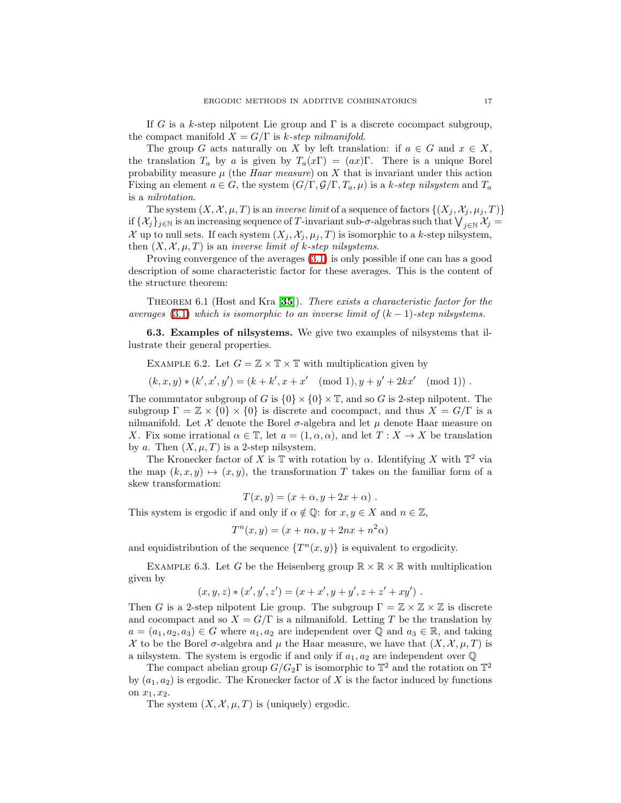If G is a k-step nilpotent Lie group and  $\Gamma$  is a discrete cocompact subgroup, the compact manifold  $X = G/\Gamma$  is k-step nilmanifold.

The group G acts naturally on X by left translation: if  $a \in G$  and  $x \in X$ , the translation  $T_a$  by a is given by  $T_a(x\Gamma) = (ax)\Gamma$ . There is a unique Borel probability measure  $\mu$  (the *Haar measure*) on X that is invariant under this action Fixing an element  $a \in G$ , the system  $(G/\Gamma, \mathcal{G}/\Gamma, T_a, \mu)$  is a k-step nilsystem and  $T_a$ is a nilrotation.

The system  $(X, \mathcal{X}, \mu, T)$  is an *inverse limit* of a sequence of factors  $\{(X_j, \mathcal{X}_j, \mu_j, T)\}$ if  $\{\mathcal{X}_j\}_{j\in\mathbb{N}}$  is an increasing sequence of T-invariant sub- $\sigma$ -algebras such that  $\bigvee_{j\in\mathbb{N}}\mathcal{X}_j=1$ X up to null sets. If each system  $(X_i, \mathcal{X}_i, \mu_i, T)$  is isomorphic to a k-step nilsystem, then  $(X, \mathcal{X}, \mu, T)$  is an *inverse limit of k-step nilsystems*.

Proving convergence of the averages [\(3.1\)](#page-4-0) is only possible if one can has a good description of some characteristic factor for these averages. This is the content of the structure theorem:

THEOREM 6.1 (Host and Kra  $[35]$  $[35]$  $[35]$ ). There exists a characteristic factor for the averages [\(3.1\)](#page-4-0) which is isomorphic to an inverse limit of  $(k-1)$ -step nilsystems.

6.3. Examples of nilsystems. We give two examples of nilsystems that illustrate their general properties.

EXAMPLE 6.2. Let  $G = \mathbb{Z} \times \mathbb{T} \times \mathbb{T}$  with multiplication given by

 $(k, x, y) * (k', x', y') = (k + k', x + x' \pmod{1}, y + y' + 2kx' \pmod{1})$ .

The commutator subgroup of G is  $\{0\} \times \{0\} \times \mathbb{T}$ , and so G is 2-step nilpotent. The subgroup  $\Gamma = \mathbb{Z} \times \{0\} \times \{0\}$  is discrete and cocompact, and thus  $X = G/\Gamma$  is a nilmanifold. Let  $\mathcal X$  denote the Borel  $\sigma$ -algebra and let  $\mu$  denote Haar measure on X. Fix some irrational  $\alpha \in \mathbb{T}$ , let  $a = (1, \alpha, \alpha)$ , and let  $T : X \to X$  be translation by a. Then  $(X, \mu, T)$  is a 2-step nilsystem.

The Kronecker factor of X is  $\mathbb T$  with rotation by  $\alpha$ . Identifying X with  $\mathbb T^2$  via the map  $(k, x, y) \mapsto (x, y)$ , the transformation T takes on the familiar form of a skew transformation:

$$
T(x,y) = (x + \alpha, y + 2x + \alpha) .
$$

This system is ergodic if and only if  $\alpha \notin \mathbb{Q}$ : for  $x, y \in X$  and  $n \in \mathbb{Z}$ ,

$$
T^n(x, y) = (x + n\alpha, y + 2nx + n^2\alpha)
$$

and equidistribution of the sequence  $\{T^n(x, y)\}$  is equivalent to ergodicity.

EXAMPLE 6.3. Let G be the Heisenberg group  $\mathbb{R} \times \mathbb{R} \times \mathbb{R}$  with multiplication given by

$$
(x, y, z) * (x', y', z') = (x + x', y + y', z + z' + xy').
$$

Then G is a 2-step nilpotent Lie group. The subgroup  $\Gamma = \mathbb{Z} \times \mathbb{Z} \times \mathbb{Z}$  is discrete and cocompact and so  $X = G/\Gamma$  is a nilmanifold. Letting T be the translation by  $a = (a_1, a_2, a_3) \in G$  where  $a_1, a_2$  are independent over Q and  $a_3 \in \mathbb{R}$ , and taking  $\mathcal X$  to be the Borel  $\sigma$ -algebra and  $\mu$  the Haar measure, we have that  $(X, \mathcal X, \mu, T)$  is a nilsystem. The system is ergodic if and only if  $a_1, a_2$  are independent over  $\mathbb Q$ 

The compact abelian group  $G/G_2\Gamma$  is isomorphic to  $\mathbb{T}^2$  and the rotation on  $\mathbb{T}^2$ by  $(a_1, a_2)$  is ergodic. The Kronecker factor of X is the factor induced by functions on  $x_1, x_2$ .

The system  $(X, \mathcal{X}, \mu, T)$  is (uniquely) ergodic.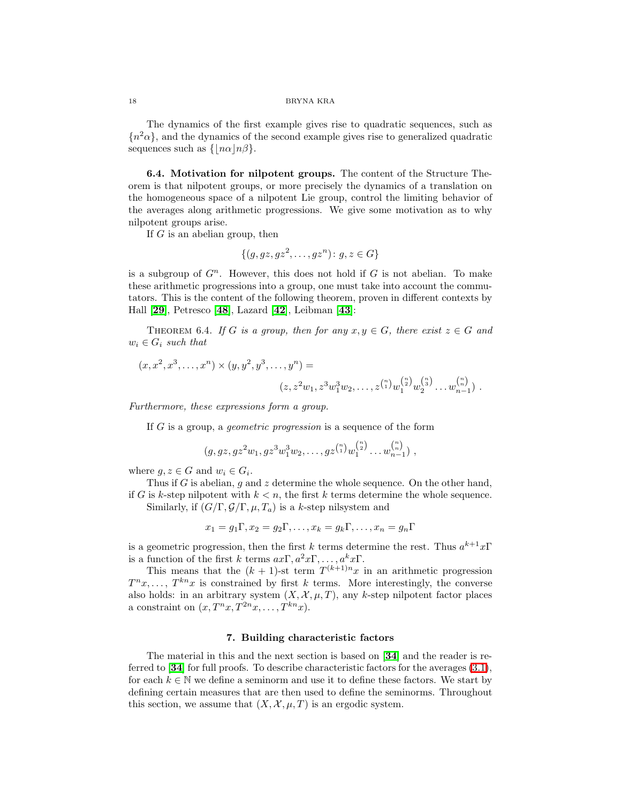The dynamics of the first example gives rise to quadratic sequences, such as  ${n<sup>2</sup> \alpha}$ , and the dynamics of the second example gives rise to generalized quadratic sequences such as  $\{|n\alpha|n\beta\}.$ 

6.4. Motivation for nilpotent groups. The content of the Structure Theorem is that nilpotent groups, or more precisely the dynamics of a translation on the homogeneous space of a nilpotent Lie group, control the limiting behavior of the averages along arithmetic progressions. We give some motivation as to why nilpotent groups arise.

If  $G$  is an abelian group, then

$$
\{(g, gz, gz^2, \dots, gz^n): g, z \in G\}
$$

is a subgroup of  $G<sup>n</sup>$ . However, this does not hold if G is not abelian. To make these arithmetic progressions into a group, one must take into account the commutators. This is the content of the following theorem, proven in different contexts by Hall [[29](#page-36-17)], Petresco [[48](#page-37-6)], Lazard [[42](#page-36-18)], Leibman [[43](#page-36-19)]:

THEOREM 6.4. If G is a group, then for any  $x, y \in G$ , there exist  $z \in G$  and  $w_i \in G_i$  such that

$$
(x, x^2, x^3, \dots, x^n) \times (y, y^2, y^3, \dots, y^n) =
$$
  

$$
(z, z^2w_1, z^3w_1^3w_2, \dots, z^{n \choose 1}w_1^{n \choose 2}w_2^{n \choose 3} \dots w_{n-1}^{n \choose n}).
$$

Furthermore, these expressions form a group.

If G is a group, a geometric progression is a sequence of the form

$$
(g, gz, gz^{2}w_{1}, gz^{3}w_{1}^{3}w_{2}, \ldots, gz^{n \choose 1}w_{1}^{n \choose 2} \ldots w_{n-1}^{n \choose n} ,
$$

where  $g, z \in G$  and  $w_i \in G_i$ .

Thus if G is abelian, g and z determine the whole sequence. On the other hand, if G is k-step nilpotent with  $k < n$ , the first k terms determine the whole sequence. Similarly, if  $(G/\Gamma, \mathcal{G}/\Gamma, \mu, T_a)$  is a k-step nilsystem and

$$
x_1 = g_1 \Gamma, x_2 = g_2 \Gamma, \dots, x_k = g_k \Gamma, \dots, x_n = g_n \Gamma
$$

is a geometric progression, then the first k terms determine the rest. Thus  $a^{k+1}x\Gamma$ is a function of the first k terms  $ax\Gamma, a^2x\Gamma, \ldots, a^kx\Gamma$ .

This means that the  $(k + 1)$ -st term  $T^{(k+1)n}x$  in an arithmetic progression  $T^n x, \ldots, T^{kn} x$  is constrained by first k terms. More interestingly, the converse also holds: in an arbitrary system  $(X, \mathcal{X}, \mu, T)$ , any k-step nilpotent factor places a constraint on  $(x, T^n x, T^{2n} x, \ldots, T^{kn} x)$ .

# 7. Building characteristic factors

<span id="page-17-0"></span>The material in this and the next section is based on [[34](#page-36-4)] and the reader is referred to [[34](#page-36-4)] for full proofs. To describe characteristic factors for the averages [\(3.1\)](#page-4-0), for each  $k \in \mathbb{N}$  we define a seminorm and use it to define these factors. We start by defining certain measures that are then used to define the seminorms. Throughout this section, we assume that  $(X, \mathcal{X}, \mu, T)$  is an ergodic system.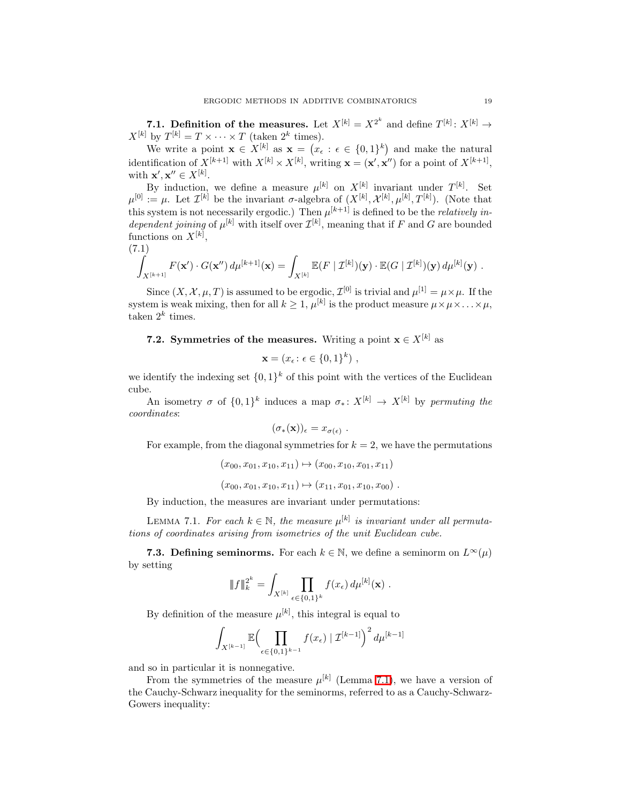7.1. Definition of the measures. Let  $X^{[k]} = X^{2^k}$  and define  $T^{[k]} : X^{[k]} \to$  $X^{[k]}$  by  $T^{[k]} = T \times \cdots \times T$  (taken  $2^k$  times).

We write a point  $\mathbf{x} \in X^{[k]}$  as  $\mathbf{x} = (x_{\epsilon} : \epsilon \in \{0,1\}^{k})$  and make the natural identification of  $X^{[k+1]}$  with  $X^{[k]} \times X^{[k]}$ , writing  $\mathbf{x} = (\mathbf{x}', \mathbf{x}'')$  for a point of  $X^{[k+1]}$ , with  $\mathbf{x}', \mathbf{x}'' \in X^{[k]}$ .

By induction, we define a measure  $\mu^{[k]}$  on  $X^{[k]}$  invariant under  $T^{[k]}$ . Set  $\mu^{[0]} := \mu$ . Let  $\mathcal{I}^{[k]}$  be the invariant  $\sigma$ -algebra of  $(X^{[k]}, \mathcal{X}^{[k]}, \mu^{[k]}, T^{[k]})$ . (Note that this system is not necessarily ergodic.) Then  $\mu^{[k+1]}$  is defined to be the *relatively in*dependent joining of  $\mu^{[k]}$  with itself over  $\mathcal{I}^{[k]}$ , meaning that if F and G are bounded functions on  $X^{[k]}$ ,

<span id="page-18-1"></span>
$$
(7.1)
$$

$$
\int_{X^{[k+1]}} F(\mathbf{x}') \cdot G(\mathbf{x}'') d\mu^{[k+1]}(\mathbf{x}) = \int_{X^{[k]}} \mathbb{E}(F \mid \mathcal{I}^{[k]})(\mathbf{y}) \cdot \mathbb{E}(G \mid \mathcal{I}^{[k]})(\mathbf{y}) d\mu^{[k]}(\mathbf{y}) .
$$

Since  $(X, \mathcal{X}, \mu, T)$  is assumed to be ergodic,  $\mathcal{I}^{[0]}$  is trivial and  $\mu^{[1]} = \mu \times \mu$ . If the system is weak mixing, then for all  $k \geq 1$ ,  $\mu^{[k]}$  is the product measure  $\mu \times \mu \times \ldots \times \mu$ , taken  $2^k$  times.

# **7.2.** Symmetries of the measures. Writing a point  $x \in X^{[k]}$  as

$$
\mathbf{x} = (x_{\epsilon}: \epsilon \in \{0,1\}^{k}),
$$

we identify the indexing set  $\{0,1\}^k$  of this point with the vertices of the Euclidean cube.

An isometry  $\sigma$  of  $\{0,1\}^k$  induces a map  $\sigma_*: X^{[k]} \to X^{[k]}$  by permuting the coordinates:

$$
(\sigma_*({\bf x}))_\epsilon = x_{\sigma(\epsilon)}
$$

For example, from the diagonal symmetries for  $k = 2$ , we have the permutations

.

$$
(x_{00}, x_{01}, x_{10}, x_{11}) \mapsto (x_{00}, x_{10}, x_{01}, x_{11})
$$

$$
(x_{00}, x_{01}, x_{10}, x_{11}) \mapsto (x_{11}, x_{01}, x_{10}, x_{00})
$$
.

By induction, the measures are invariant under permutations:

<span id="page-18-0"></span>LEMMA 7.1. For each  $k \in \mathbb{N}$ , the measure  $\mu^{[k]}$  is invariant under all permutations of coordinates arising from isometries of the unit Euclidean cube.

**7.3. Defining seminorms.** For each  $k \in \mathbb{N}$ , we define a seminorm on  $L^{\infty}(\mu)$ by setting

$$
\|f\|_{k}^{2^{k}} = \int_{X^{[k]}} \prod_{\epsilon \in \{0,1\}^{k}} f(x_{\epsilon}) d\mu^{[k]}(\mathbf{x}) .
$$

By definition of the measure  $\mu^{[k]}$ , this integral is equal to

$$
\int_{X^{[k-1]}}\mathbb{E}\Bigl(\prod_{\epsilon\in\{0,1\}^{k-1}}f(x_{\epsilon})\mid\mathcal{I}^{[k-1]}\Bigr)^2\,d\mu^{[k-1]}
$$

and so in particular it is nonnegative.

From the symmetries of the measure  $\mu^{[k]}$  (Lemma [7.1\)](#page-18-0), we have a version of the Cauchy-Schwarz inequality for the seminorms, referred to as a Cauchy-Schwarz-Gowers inequality: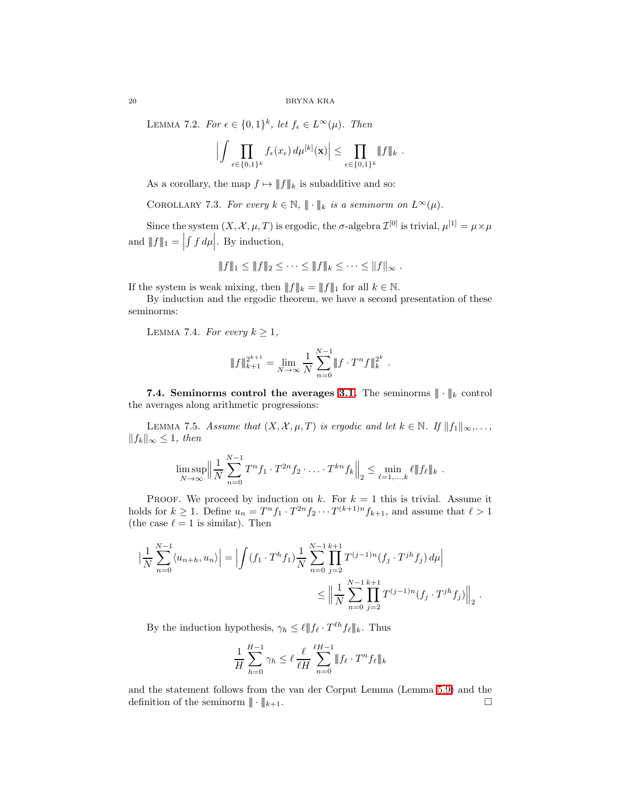LEMMA 7.2. For  $\epsilon \in \{0,1\}^k$ , let  $f_{\epsilon} \in L^{\infty}(\mu)$ . Then

$$
\Big|\int \prod_{\epsilon \in \{0,1\}^k} f_{\epsilon}(x_{\epsilon}) d\mu^{[k]}(\mathbf{x})\Big| \leq \prod_{\epsilon \in \{0,1\}^k} \|f\|_k.
$$

As a corollary, the map  $f \mapsto ||f||_k$  is subadditive and so:

COROLLARY 7.3. For every  $k \in \mathbb{N}$ ,  $\|\cdot\|_k$  is a seminorm on  $L^{\infty}(\mu)$ .

Since the system  $(X, \mathcal{X}, \mu, T)$  is ergodic, the  $\sigma$ -algebra  $\mathcal{I}^{[0]}$  is trivial,  $\mu^{[1]} = \mu \times \mu$ and  $|| f ||_1 =$  $\int f d\mu$ . By induction,

$$
||f||_1 \leq ||f||_2 \leq \cdots \leq ||f||_k \leq \cdots \leq ||f||_{\infty}.
$$

If the system is weak mixing, then  $|| f ||_k = || f ||_1$  for all  $k \in \mathbb{N}$ .

By induction and the ergodic theorem, we have a second presentation of these seminorms:

LEMMA 7.4. For every  $k \geq 1$ ,

$$
\|f\|_{k+1}^{2^{k+1}} = \lim_{N \to \infty} \frac{1}{N} \sum_{n=0}^{N-1} \|f \cdot T^n f\|_{k}^{2^k}.
$$

<span id="page-19-0"></span>7.4. Seminorms control the averages [3.1.](#page-4-0) The seminorms  $\|\cdot\|_k$  control the averages along arithmetic progressions:

LEMMA 7.5. Assume that  $(X, \mathcal{X}, \mu, T)$  is ergodic and let  $k \in \mathbb{N}$ . If  $||f_1||_{\infty}, \ldots$ ,  $||f_k||_{\infty}$  ≤ 1, then

$$
\limsup_{N \to \infty} \left\| \frac{1}{N} \sum_{n=0}^{N-1} T^n f_1 \cdot T^{2n} f_2 \cdot \ldots \cdot T^{kn} f_k \right\|_2 \leq \min_{\ell=1,\ldots,k} \ell \| f_\ell \|_k.
$$

PROOF. We proceed by induction on k. For  $k = 1$  this is trivial. Assume it holds for  $k \geq 1$ . Define  $u_n = T^n f_1 \cdot T^{2n} f_2 \cdots T^{(k+1)n} f_{k+1}$ , and assume that  $\ell > 1$ (the case  $\ell = 1$  is similar). Then

$$
\left| \frac{1}{N} \sum_{n=0}^{N-1} \langle u_{n+h}, u_n \rangle \right| = \left| \int (f_1 \cdot T^h f_1) \frac{1}{N} \sum_{n=0}^{N-1} \prod_{j=2}^{k+1} T^{(j-1)n} (f_j \cdot T^{jh} f_j) d\mu \right|
$$
  

$$
\leq \left\| \frac{1}{N} \sum_{n=0}^{N-1} \prod_{j=2}^{k+1} T^{(j-1)n} (f_j \cdot T^{jh} f_j) \right\|_2.
$$

By the induction hypothesis,  $\gamma_h \leq \ell \Vert f_\ell \cdot T^{\ell h} f_\ell \Vert_k$ . Thus

$$
\frac{1}{H} \sum_{h=0}^{H-1} \gamma_h \le \ell \frac{\ell}{\ell H} \sum_{n=0}^{\ell H-1} \| f_\ell \cdot T^n f_\ell \|_k
$$

and the statement follows from the van der Corput Lemma (Lemma [5.9\)](#page-11-3) and the definition of the seminorm  $|\!|\!|\cdot|\!|\!|_{k+1}$ .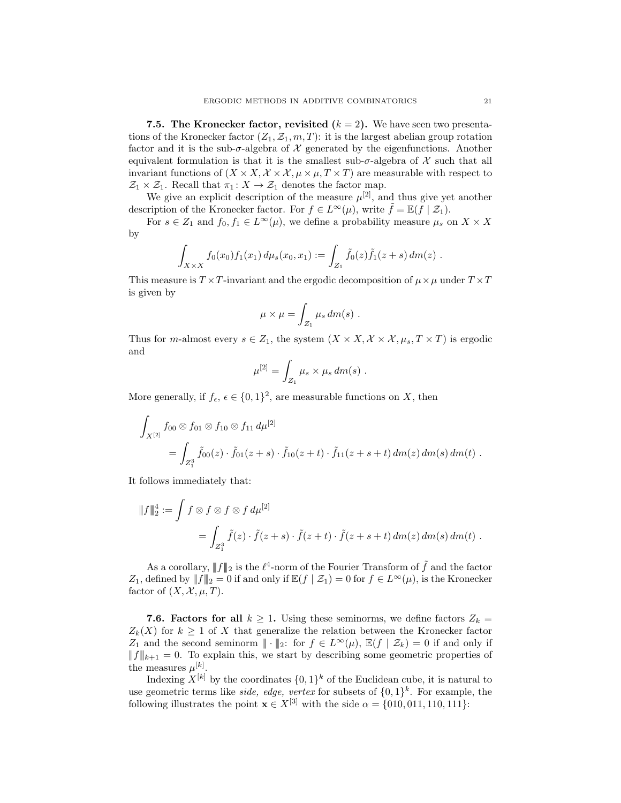7.5. The Kronecker factor, revisited  $(k = 2)$ . We have seen two presentations of the Kronecker factor  $(Z_1, Z_1, m, T)$ : it is the largest abelian group rotation factor and it is the sub- $\sigma$ -algebra of X generated by the eigenfunctions. Another equivalent formulation is that it is the smallest sub- $\sigma$ -algebra of X such that all invariant functions of  $(X \times X, \mathcal{X} \times \mathcal{X}, \mu \times \mu, T \times T)$  are measurable with respect to  $\mathcal{Z}_1 \times \mathcal{Z}_1$  . Recall that  $\pi_1 \colon X \to \mathcal{Z}_1$  denotes the factor map.

We give an explicit description of the measure  $\mu^{[2]}$ , and thus give yet another description of the Kronecker factor. For  $f \in L^{\infty}(\mu)$ , write  $\tilde{f} = \mathbb{E}(f \mid \mathcal{Z}_1)$ .

For  $s \in Z_1$  and  $f_0, f_1 \in L^{\infty}(\mu)$ , we define a probability measure  $\mu_s$  on  $X \times X$ by

$$
\int_{X\times X} f_0(x_0) f_1(x_1) d\mu_s(x_0, x_1) := \int_{Z_1} \tilde{f}_0(z) \tilde{f}_1(z+s) dm(z) .
$$

This measure is  $T \times T$ -invariant and the ergodic decomposition of  $\mu \times \mu$  under  $T \times T$ is given by

$$
\mu \times \mu = \int_{Z_1} \mu_s dm(s) .
$$

Thus for *m*-almost every  $s \in Z_1$ , the system  $(X \times X, \mathcal{X} \times \mathcal{X}, \mu_s, T \times T)$  is ergodic and

$$
\mu^{[2]} = \int_{Z_1} \mu_s \times \mu_s dm(s) .
$$

More generally, if  $f_{\epsilon}$ ,  $\epsilon \in \{0, 1\}^2$ , are measurable functions on X, then

$$
\int_{X^{[2]}} f_{00} \otimes f_{01} \otimes f_{10} \otimes f_{11} d\mu^{[2]} \n= \int_{Z_1^3} \tilde{f}_{00}(z) \cdot \tilde{f}_{01}(z+s) \cdot \tilde{f}_{10}(z+t) \cdot \tilde{f}_{11}(z+s+t) dm(z) dm(s) dm(t).
$$

It follows immediately that:

$$
\begin{aligned} \n\|f\|_2^4 &:= \int f \otimes f \otimes f \otimes f \, d\mu^{[2]} \\ \n&= \int_{Z_1^3} \tilde{f}(z) \cdot \tilde{f}(z+s) \cdot \tilde{f}(z+t) \cdot \tilde{f}(z+s+t) \, dm(z) \, dm(s) \, dm(t) \, .\n\end{aligned}
$$

As a corollary,  $|| f ||_2$  is the  $\ell^4$ -norm of the Fourier Transform of  $\tilde{f}$  and the factor Z<sub>1</sub>, defined by  $|| f ||_2 = 0$  if and only if  $\mathbb{E}(f | \mathcal{Z}_1) = 0$  for  $f \in L^{\infty}(\mu)$ , is the Kronecker factor of  $(X, \mathcal{X}, \mu, T)$ .

7.6. Factors for all  $k \geq 1$ . Using these seminorms, we define factors  $Z_k =$  $Z_k(X)$  for  $k \geq 1$  of X that generalize the relation between the Kronecker factor Z<sub>1</sub> and the second seminorm  $\|\cdot\|_2$ : for  $f \in L^{\infty}(\mu)$ ,  $\mathbb{E}(f | \mathcal{Z}_k) = 0$  if and only if  $||f||_{k+1} = 0$ . To explain this, we start by describing some geometric properties of the measures  $\mu^{[k]}$ .

Indexing  $X^{[k]}$  by the coordinates  $\{0,1\}^k$  of the Euclidean cube, it is natural to use geometric terms like *side*, *edge*, *vertex* for subsets of  $\{0,1\}^k$ . For example, the following illustrates the point  $\mathbf{x} \in X^{[3]}$  with the side  $\alpha = \{010, 011, 110, 111\}$ :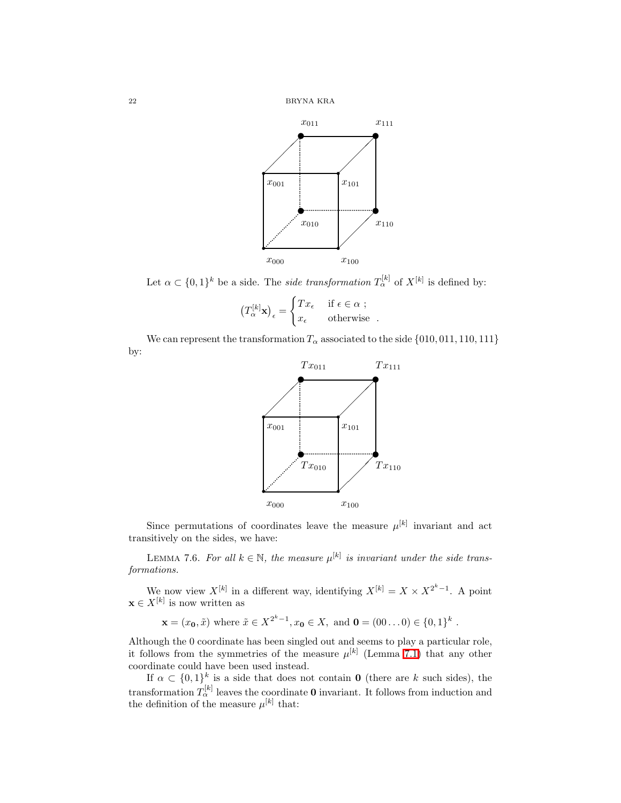

Let  $\alpha \subset \{0,1\}^k$  be a side. The *side transformation*  $T_\alpha^{[k]}$  of  $X^{[k]}$  is defined by:

$$
\left(T^{[k]}_\alpha \mathbf{x}\right)_\epsilon = \begin{cases} Tx_\epsilon & \text{ if } \epsilon \in \alpha \ ; \\ x_\epsilon & \text{ otherwise } . \end{cases}
$$

We can represent the transformation  $T_{\alpha}$  associated to the side  $\{010, 011, 110, 111\}$ by:



Since permutations of coordinates leave the measure  $\mu^{[k]}$  invariant and act transitively on the sides, we have:

LEMMA 7.6. For all  $k \in \mathbb{N}$ , the measure  $\mu^{[k]}$  is invariant under the side transformations.

We now view  $X^{[k]}$  in a different way, identifying  $X^{[k]} = X \times X^{2^k-1}$ . A point  $\mathbf{x} \in X^{[k]}$  is now written as

$$
\mathbf{x} = (x_0, \tilde{x})
$$
 where  $\tilde{x} \in X^{2^k - 1}$ ,  $x_0 \in X$ , and  $\mathbf{0} = (00...0) \in \{0, 1\}^k$ .

Although the 0 coordinate has been singled out and seems to play a particular role, it follows from the symmetries of the measure  $\mu^{[k]}$  (Lemma [7.1\)](#page-18-0) that any other coordinate could have been used instead.

If  $\alpha \subset \{0,1\}^k$  is a side that does not contain **0** (there are k such sides), the transformation  $T_{\alpha}^{[k]}$  leaves the coordinate **0** invariant. It follows from induction and the definition of the measure  $\mu^{[k]}$  that: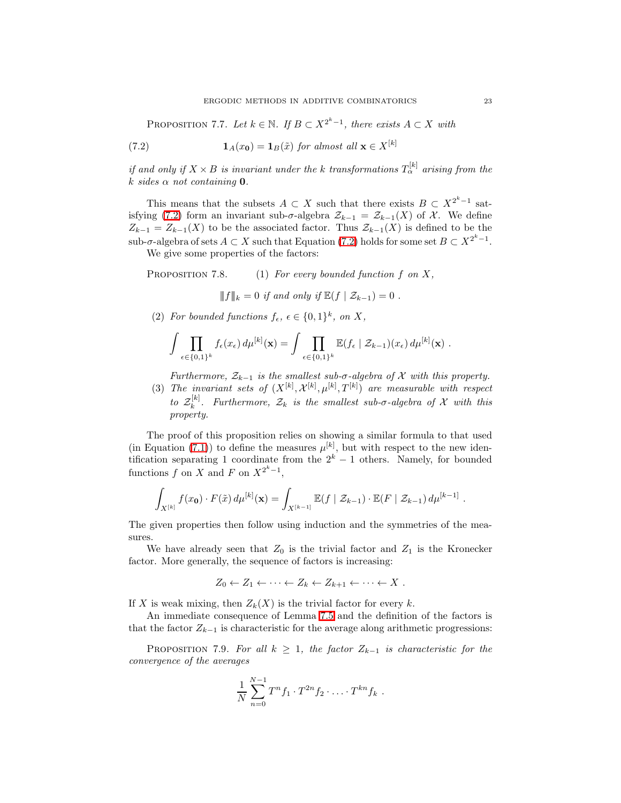<span id="page-22-0"></span>PROPOSITION 7.7. Let  $k \in \mathbb{N}$ . If  $B \subset X^{2^k-1}$ , there exists  $A \subset X$  with

(7.2) 
$$
\mathbf{1}_A(x_0) = \mathbf{1}_B(\tilde{x}) \text{ for almost all } \mathbf{x} \in X^{[k]}
$$

if and only if  $X \times B$  is invariant under the k transformations  $T_\alpha^{[k]}$  arising from the k sides  $\alpha$  not containing 0.

This means that the subsets  $A \subset X$  such that there exists  $B \subset X^{2^k-1}$  sat-isfying [\(7.2\)](#page-22-0) form an invariant sub- $\sigma$ -algebra  $\mathcal{Z}_{k-1} = \mathcal{Z}_{k-1}(X)$  of X. We define  $Z_{k-1} = Z_{k-1}(X)$  to be the associated factor. Thus  $\mathcal{Z}_{k-1}(X)$  is defined to be the sub- $\sigma$ -algebra of sets  $A \subset X$  such that Equation [\(7.2\)](#page-22-0) holds for some set  $B \subset X^{2^k-1}$ .

We give some properties of the factors:

PROPOSITION 7.8. (1) For every bounded function f on X,

 $||f||_k = 0$  if and only if  $\mathbb{E}(f | \mathcal{Z}_{k-1}) = 0$ .

(2) For bounded functions  $f_{\epsilon}$ ,  $\epsilon \in \{0,1\}^k$ , on X,

$$
\int \prod_{\epsilon \in \{0,1\}^k} f_{\epsilon}(x_{\epsilon}) d\mu^{[k]}(\mathbf{x}) = \int \prod_{\epsilon \in \{0,1\}^k} \mathbb{E}(f_{\epsilon} | \mathcal{Z}_{k-1})(x_{\epsilon}) d\mu^{[k]}(\mathbf{x}).
$$

Furthermore,  $\mathcal{Z}_{k-1}$  is the smallest sub- $\sigma$ -algebra of X with this property.

(3) The invariant sets of  $(X^{[k]}, \mathcal{X}^{[k]}, \mu^{[k]}, T^{[k]})$  are measurable with respect to  $\mathcal{Z}_k^{[k]}$  $\mathbb{R}^{[K]}_k$ . Furthermore,  $\mathcal{Z}_k$  is the smallest sub- $\sigma$ -algebra of X with this property.

The proof of this proposition relies on showing a similar formula to that used (in Equation [\(7.1\)](#page-18-1)) to define the measures  $\mu^{[k]}$ , but with respect to the new identification separating 1 coordinate from the  $2^k - 1$  others. Namely, for bounded functions f on X and F on  $X^{2^k-1}$ ,

$$
\int_{X^{[k]}} f(x_{\mathbf{0}}) \cdot F(\tilde{x}) d\mu^{[k]}(\mathbf{x}) = \int_{X^{[k-1]}} \mathbb{E}(f \mid \mathcal{Z}_{k-1}) \cdot \mathbb{E}(F \mid \mathcal{Z}_{k-1}) d\mu^{[k-1]}.
$$

The given properties then follow using induction and the symmetries of the measures.

We have already seen that  $Z_0$  is the trivial factor and  $Z_1$  is the Kronecker factor. More generally, the sequence of factors is increasing:

$$
Z_0 \leftarrow Z_1 \leftarrow \cdots \leftarrow Z_k \leftarrow Z_{k+1} \leftarrow \cdots \leftarrow X \; .
$$

If X is weak mixing, then  $Z_k(X)$  is the trivial factor for every k.

<span id="page-22-1"></span>An immediate consequence of Lemma [7.5](#page-19-0) and the definition of the factors is that the factor  $Z_{k-1}$  is characteristic for the average along arithmetic progressions:

PROPOSITION 7.9. For all  $k \geq 1$ , the factor  $Z_{k-1}$  is characteristic for the convergence of the averages

$$
\frac{1}{N} \sum_{n=0}^{N-1} T^n f_1 \cdot T^{2n} f_2 \cdot \ldots \cdot T^{kn} f_k \; .
$$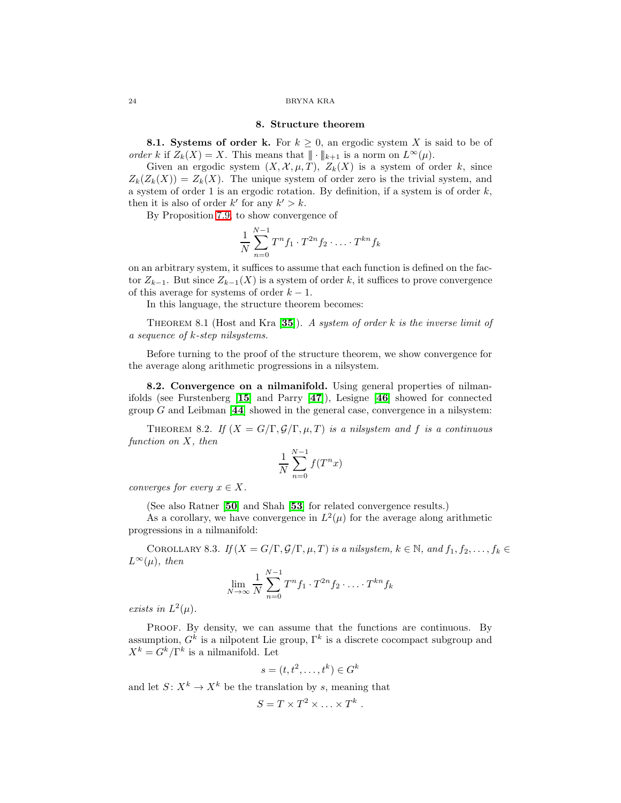### 8. Structure theorem

8.1. Systems of order k. For  $k \geq 0$ , an ergodic system X is said to be of order k if  $Z_k(X) = X$ . This means that  $\|\cdot\|_{k+1}$  is a norm on  $L^{\infty}(\mu)$ .

Given an ergodic system  $(X, \mathcal{X}, \mu, T)$ ,  $Z_k(X)$  is a system of order k, since  $Z_k(Z_k(X)) = Z_k(X)$ . The unique system of order zero is the trivial system, and a system of order 1 is an ergodic rotation. By definition, if a system is of order  $k$ , then it is also of order  $k'$  for any  $k' > k$ .

By Proposition [7.9,](#page-22-1) to show convergence of

$$
\frac{1}{N} \sum_{n=0}^{N-1} T^n f_1 \cdot T^{2n} f_2 \cdot \ldots \cdot T^{kn} f_k
$$

on an arbitrary system, it suffices to assume that each function is defined on the factor  $Z_{k-1}$ . But since  $Z_{k-1}(X)$  is a system of order k, it suffices to prove convergence of this average for systems of order  $k - 1$ .

In this language, the structure theorem becomes:

THEOREM 8.1 (Host and Kra [[35](#page-36-11)]). A system of order k is the inverse limit of a sequence of k-step nilsystems.

Before turning to the proof of the structure theorem, we show convergence for the average along arithmetic progressions in a nilsystem.

8.2. Convergence on a nilmanifold. Using general properties of nilmanifolds (see Furstenberg [[15](#page-36-20)] and Parry [[47](#page-37-7)]), Lesigne [[46](#page-37-8)] showed for connected group  $G$  and Leibman  $[44]$  $[44]$  $[44]$  showed in the general case, convergence in a nilsystem:

<span id="page-23-0"></span>THEOREM 8.2. If  $(X = G/\Gamma, \mathcal{G}/\Gamma, \mu, T)$  is a nilsystem and f is a continuous function on X, then

$$
\frac{1}{N} \sum_{n=0}^{N-1} f(T^n x)
$$

converges for every  $x \in X$ .

(See also Ratner [[50](#page-37-10)] and Shah [[53](#page-37-11)] for related convergence results.)

As a corollary, we have convergence in  $L^2(\mu)$  for the average along arithmetic progressions in a nilmanifold:

COROLLARY 8.3. If  $(X = G/\Gamma, \mathcal{G}/\Gamma, \mu, T)$  is a nilsystem,  $k \in \mathbb{N}$ , and  $f_1, f_2, \ldots, f_k \in$  $L^{\infty}(\mu)$ , then

$$
\lim_{N \to \infty} \frac{1}{N} \sum_{n=0}^{N-1} T^n f_1 \cdot T^{2n} f_2 \cdot \ldots \cdot T^{kn} f_k
$$

exists in  $L^2(\mu)$ .

PROOF. By density, we can assume that the functions are continuous. By assumption,  $G^k$  is a nilpotent Lie group,  $\Gamma^k$  is a discrete cocompact subgroup and  $X^k = G^k / \Gamma^k$  is a nilmanifold. Let

$$
s = (t, t^2, \dots, t^k) \in G^k
$$

and let  $S: X^k \to X^k$  be the translation by s, meaning that

$$
S=T\times T^2\times \ldots \times T^k.
$$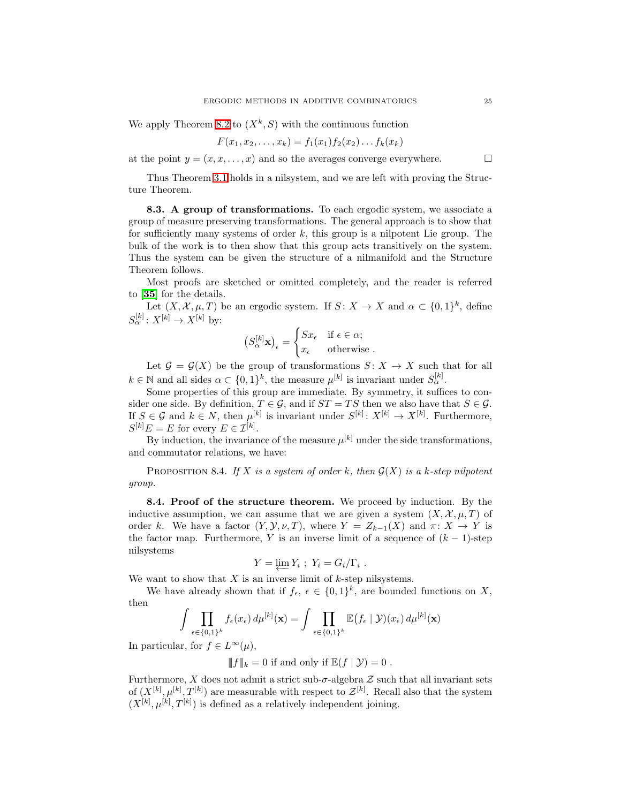We apply Theorem [8.2](#page-23-0) to  $(X^k, S)$  with the continuous function

$$
F(x_1, x_2, \ldots, x_k) = f_1(x_1) f_2(x_2) \ldots f_k(x_k)
$$

at the point  $y = (x, x, \dots, x)$  and so the averages converge everywhere.

Thus Theorem [3.1](#page-4-1) holds in a nilsystem, and we are left with proving the Structure Theorem.

8.3. A group of transformations. To each ergodic system, we associate a group of measure preserving transformations. The general approach is to show that for sufficiently many systems of order  $k$ , this group is a nilpotent Lie group. The bulk of the work is to then show that this group acts transitively on the system. Thus the system can be given the structure of a nilmanifold and the Structure Theorem follows.

Most proofs are sketched or omitted completely, and the reader is referred to [[35](#page-36-11)] for the details.

Let  $(X, \mathcal{X}, \mu, T)$  be an ergodic system. If  $S: X \to X$  and  $\alpha \subset \{0, 1\}^k$ , define  $S_{\alpha}^{[k]}: X^{[k]} \to X^{[k]}$  by:

$$
\left(S_\alpha^{[k]}\mathbf{x}\right)_\epsilon = \begin{cases} Sx_\epsilon & \text{if } \epsilon \in \alpha; \\ x_\epsilon & \text{otherwise} \end{cases}.
$$

Let  $\mathcal{G} = \mathcal{G}(X)$  be the group of transformations  $S: X \to X$  such that for all  $k \in \mathbb{N}$  and all sides  $\alpha \subset \{0,1\}^k$ , the measure  $\mu^{[k]}$  is invariant under  $S_{\alpha}^{[k]}$ .

Some properties of this group are immediate. By symmetry, it suffices to consider one side. By definition,  $T \in \mathcal{G}$ , and if  $ST = TS$  then we also have that  $S \in \mathcal{G}$ . If  $S \in \mathcal{G}$  and  $k \in N$ , then  $\mu^{[k]}$  is invariant under  $S^{[k]}: X^{[k]} \to X^{[k]}$ . Furthermore,  $S^{[k]}E = E$  for every  $E \in \mathcal{I}^{[k]}$ .

By induction, the invariance of the measure  $\mu^{[k]}$  under the side transformations, and commutator relations, we have:

PROPOSITION 8.4. If X is a system of order k, then  $\mathcal{G}(X)$  is a k-step nilpotent group.

8.4. Proof of the structure theorem. We proceed by induction. By the inductive assumption, we can assume that we are given a system  $(X, \mathcal{X}, \mu, T)$  of order k. We have a factor  $(Y, Y, \nu, T)$ , where  $Y = Z_{k-1}(X)$  and  $\pi: X \to Y$  is the factor map. Furthermore, Y is an inverse limit of a sequence of  $(k-1)$ -step nilsystems

$$
Y = \underline{\lim} Y_i ; Y_i = G_i / \Gamma_i .
$$

 $Y = \varprojlim Y_i$ ;  $Y_i = G_i/\Gamma_i$ .<br>We want to show that X is an inverse limit of k-step nilsystems.

We have already shown that if  $f_{\epsilon}$ ,  $\epsilon \in \{0,1\}^k$ , are bounded functions on X, then

$$
\int \prod_{\epsilon \in \{0,1\}^k} f_{\epsilon}(x_{\epsilon}) d\mu^{[k]}(\mathbf{x}) = \int \prod_{\epsilon \in \{0,1\}^k} \mathbb{E}(f_{\epsilon} \mid \mathcal{Y})(x_{\epsilon}) d\mu^{[k]}(\mathbf{x})
$$

In particular, for  $f \in L^{\infty}(\mu)$ ,

 $||f||_k = 0$  if and only if  $\mathbb{E}(f | \mathcal{Y}) = 0$ .

Furthermore, X does not admit a strict sub- $\sigma$ -algebra  $\mathcal Z$  such that all invariant sets of  $(X^{[k]}, \mu^{[k]}, T^{[k]})$  are measurable with respect to  $\mathcal{Z}^{[k]}$ . Recall also that the system  $(X^{[k]}, \mu^{[k]}, T^{[k]})$  is defined as a relatively independent joining.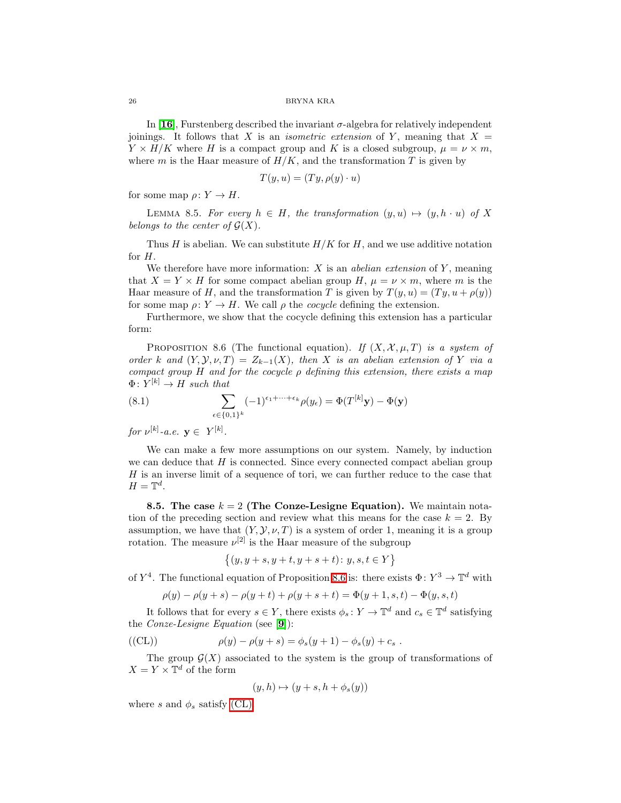In [[16](#page-36-0)], Furstenberg described the invariant  $\sigma$ -algebra for relatively independent joinings. It follows that X is an *isometric extension* of Y, meaning that  $X =$  $Y \times H/K$  where H is a compact group and K is a closed subgroup,  $\mu = \nu \times m$ , where  $m$  is the Haar measure of  $H/K$ , and the transformation  $T$  is given by

$$
T(y, u) = (Ty, \rho(y) \cdot u)
$$

for some map  $\rho: Y \to H$ .

LEMMA 8.5. For every  $h \in H$ , the transformation  $(y, u) \mapsto (y, h \cdot u)$  of X belongs to the center of  $\mathcal{G}(X)$ .

Thus H is abelian. We can substitute  $H/K$  for H, and we use additive notation for H.

We therefore have more information:  $X$  is an *abelian extension* of  $Y$ , meaning that  $X = Y \times H$  for some compact abelian group H,  $\mu = \nu \times m$ , where m is the Haar measure of H, and the transformation T is given by  $T(y, u) = (Ty, u + \rho(y))$ for some map  $\rho: Y \to H$ . We call  $\rho$  the *cocycle* defining the extension.

<span id="page-25-0"></span>Furthermore, we show that the cocycle defining this extension has a particular form:

<span id="page-25-2"></span>PROPOSITION 8.6 (The functional equation). If  $(X, \mathcal{X}, \mu, T)$  is a system of order k and  $(Y, Y, \nu, T) = Z_{k-1}(X)$ , then X is an abelian extension of Y via a compact group H and for the cocycle  $\rho$  defining this extension, there exists a map  $\Phi\colon Y^{[k]} \to H$  such that

(8.1) 
$$
\sum_{\epsilon \in \{0,1\}^k} (-1)^{\epsilon_1 + \cdots + \epsilon_k} \rho(y_\epsilon) = \Phi(T^{[k]}\mathbf{y}) - \Phi(\mathbf{y})
$$

for  $\nu^{[k]}$ -a.e.  $y \in Y^{[k]}$ .

We can make a few more assumptions on our system. Namely, by induction we can deduce that  $H$  is connected. Since every connected compact abelian group H is an inverse limit of a sequence of tori, we can further reduce to the case that  $H=\mathbb{T}^d$ .

8.5. The case  $k = 2$  (The Conze-Lesigne Equation). We maintain notation of the preceding section and review what this means for the case  $k = 2$ . By assumption, we have that  $(Y, Y, \nu, T)$  is a system of order 1, meaning it is a group rotation. The measure  $\nu^{[2]}$  is the Haar measure of the subgroup

$$
\big\{(y,y+s,y+t,y+s+t)\colon y,s,t\in Y\big\}
$$

of  $Y^4$ . The functional equation of Proposition [8.6](#page-25-0) is: there exists  $\Phi: Y^3 \to \mathbb{T}^d$  with

$$
\rho(y) - \rho(y+s) - \rho(y+t) + \rho(y+s+t) = \Phi(y+1, s, t) - \Phi(y, s, t)
$$

It follows that for every  $s \in Y$ , there exists  $\phi_s : Y \to \mathbb{T}^d$  and  $c_s \in \mathbb{T}^d$  satisfying the Conze-Lesigne Equation (see [[9](#page-35-2)]):

<span id="page-25-1"></span>
$$
(\text{(CL)}) \qquad \rho(y) - \rho(y+s) = \phi_s(y+1) - \phi_s(y) + c_s \; .
$$

The group  $\mathcal{G}(X)$  associated to the system is the group of transformations of  $X = Y \times \mathbb{T}^d$  of the form

$$
(y,h)\mapsto (y+s,h+\phi_s(y))
$$

where s and  $\phi_s$  satisfy [\(CL\).](#page-25-1)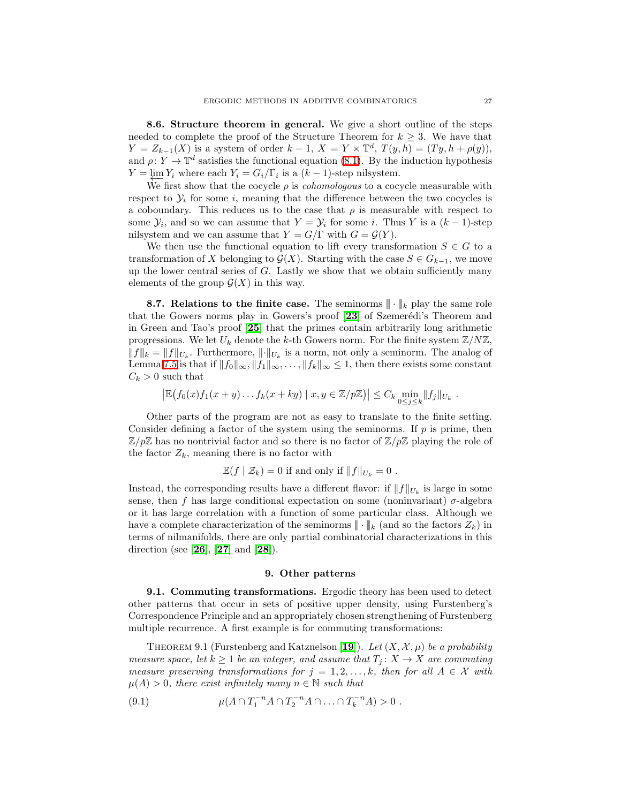8.6. Structure theorem in general. We give a short outline of the steps needed to complete the proof of the Structure Theorem for  $k \geq 3$ . We have that  $Y = Z_{k-1}(X)$  is a system of order  $k-1$ ,  $X = Y \times \mathbb{T}^d$ ,  $T(y,h) = (Ty, h + \rho(y)),$ and  $\rho: Y \to \mathbb{T}^d$  satisfies the functional equation [\(8.1\)](#page-25-2). By the induction hypothesis  $Y = \varprojlim_{i} Y_i$  where each  $Y_i = G_i/\Gamma_i$  is a  $(k-1)$ -step nilsystem.

We first show that the cocycle  $\rho$  is *cohomologous* to a cocycle measurable with respect to  $\mathcal{Y}_i$  for some i, meaning that the difference between the two cocycles is a coboundary. This reduces us to the case that  $\rho$  is measurable with respect to some  $\mathcal{Y}_i$ , and so we can assume that  $Y = \mathcal{Y}_i$  for some i. Thus Y is a  $(k-1)$ -step nilsystem and we can assume that  $Y = G/\Gamma$  with  $G = \mathcal{G}(Y)$ .

We then use the functional equation to lift every transformation  $S \in G$  to a transformation of X belonging to  $\mathcal{G}(X)$ . Starting with the case  $S \in G_{k-1}$ , we move up the lower central series of  $G$ . Lastly we show that we obtain sufficiently many elements of the group  $\mathcal{G}(X)$  in this way.

**8.7. Relations to the finite case.** The seminorms  $\|\cdot\|_k$  play the same role that the Gowers norms play in Gowers's proof [[23](#page-36-21)] of Szemerédi's Theorem and in Green and Tao's proof [[25](#page-36-22)] that the primes contain arbitrarily long arithmetic progressions. We let  $U_k$  denote the k-th Gowers norm. For the finite system  $\mathbb{Z}/N\mathbb{Z}$ ,  $||f||_k = ||f||_{U_k}$ . Furthermore,  $||\cdot||_{U_k}$  is a norm, not only a seminorm. The analog of Lemma [7.5](#page-19-0) is that if  $||f_0||_{\infty}, ||f_1||_{\infty}, \ldots, ||f_k||_{\infty} \leq 1$ , then there exists some constant  $C_k > 0$  such that

$$
\left| \mathbb{E} (f_0(x)f_1(x+y)\dots f_k(x+ky) \mid x,y \in \mathbb{Z}/p\mathbb{Z}) \right| \leq C_k \min_{0 \leq j \leq k} \|f_j\|_{U_k}.
$$

Other parts of the program are not as easy to translate to the finite setting. Consider defining a factor of the system using the seminorms. If  $p$  is prime, then  $\mathbb{Z}/p\mathbb{Z}$  has no nontrivial factor and so there is no factor of  $\mathbb{Z}/p\mathbb{Z}$  playing the role of the factor  $Z_k$ , meaning there is no factor with

$$
\mathbb{E}(f \mid \mathcal{Z}_k) = 0
$$
 if and only if  $||f||_{U_k} = 0$ .

Instead, the corresponding results have a different flavor: if  $||f||_{U_k}$  is large in some sense, then f has large conditional expectation on some (noninvariant)  $\sigma$ -algebra or it has large correlation with a function of some particular class. Although we have a complete characterization of the seminorms  $\|\cdot\|_k$  (and so the factors  $Z_k$ ) in terms of nilmanifolds, there are only partial combinatorial characterizations in this direction (see [[26](#page-36-8)], [[27](#page-36-9)] and [[28](#page-36-10)]).

# <span id="page-26-2"></span>9. Other patterns

<span id="page-26-1"></span><span id="page-26-0"></span>9.1. Commuting transformations. Ergodic theory has been used to detect other patterns that occur in sets of positive upper density, using Furstenberg's Correspondence Principle and an appropriately chosen strengthening of Furstenberg multiple recurrence. A first example is for commuting transformations:

THEOREM 9.1 (Furstenberg and Katznelson [[19](#page-36-23)]). Let  $(X, \mathcal{X}, \mu)$  be a probability measure space, let  $k \geq 1$  be an integer, and assume that  $T_j: X \to X$  are commuting measure preserving transformations for  $j = 1, 2, \ldots, k$ , then for all  $A \in \mathcal{X}$  with  $\mu(A) > 0$ , there exist infinitely many  $n \in \mathbb{N}$  such that

(9.1) 
$$
\mu(A \cap T_1^{-n}A \cap T_2^{-n}A \cap ... \cap T_k^{-n}A) > 0.
$$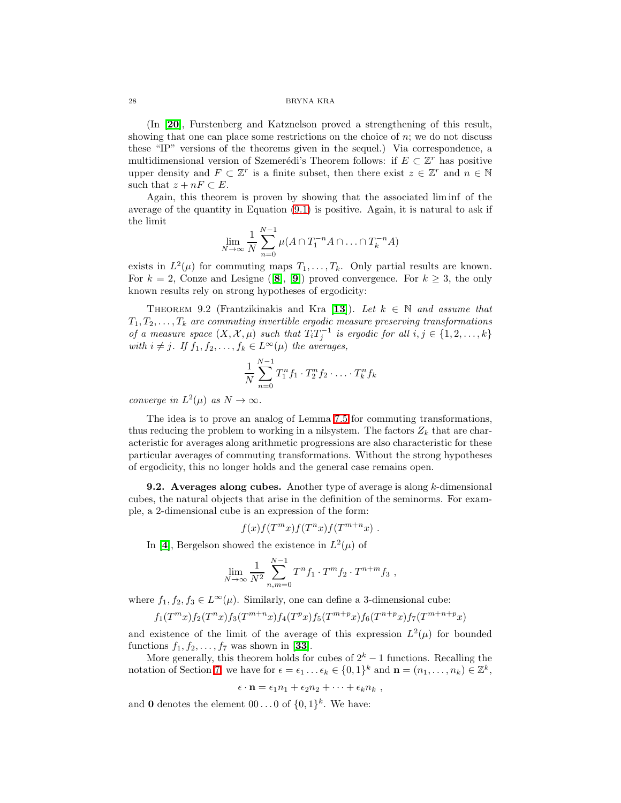(In [[20](#page-36-24)], Furstenberg and Katznelson proved a strengthening of this result, showing that one can place some restrictions on the choice of n; we do not discuss these "IP" versions of the theorems given in the sequel.) Via correspondence, a multidimensional version of Szemerédi's Theorem follows: if  $E \subset \mathbb{Z}^r$  has positive upper density and  $F \subset \mathbb{Z}^r$  is a finite subset, then there exist  $z \in \mathbb{Z}^r$  and  $n \in \mathbb{N}$ such that  $z + nF \subset E$ .

Again, this theorem is proven by showing that the associated lim inf of the average of the quantity in Equation [\(9.1\)](#page-26-2) is positive. Again, it is natural to ask if the limit

$$
\lim_{N \to \infty} \frac{1}{N} \sum_{n=0}^{N-1} \mu(A \cap T_1^{-n} A \cap \ldots \cap T_k^{-n} A)
$$

exists in  $L^2(\mu)$  for commuting maps  $T_1, \ldots, T_k$ . Only partial results are known. For  $k = 2$ , Conze and Lesigne ([[8](#page-35-1)], [[9](#page-35-2)]) proved convergence. For  $k \geq 3$ , the only known results rely on strong hypotheses of ergodicity:

<span id="page-27-1"></span>THEOREM 9.2 (Frantzikinakis and Kra [[13](#page-35-6)]). Let  $k \in \mathbb{N}$  and assume that  $T_1, T_2, \ldots, T_k$  are commuting invertible ergodic measure preserving transformations of a measure space  $(X, \mathcal{X}, \mu)$  such that  $T_i T_j^{-1}$  is ergodic for all  $i, j \in \{1, 2, ..., k\}$ with  $i \neq j$ . If  $f_1, f_2, \ldots, f_k \in L^{\infty}(\mu)$  the averages,

$$
\frac{1}{N} \sum_{n=0}^{N-1} T_1^n f_1 \cdot T_2^n f_2 \cdot \ldots \cdot T_k^n f_k
$$

converge in  $L^2(\mu)$  as  $N \to \infty$ .

The idea is to prove an analog of Lemma [7.5](#page-19-0) for commuting transformations, thus reducing the problem to working in a nilsystem. The factors  $Z_k$  that are characteristic for averages along arithmetic progressions are also characteristic for these particular averages of commuting transformations. Without the strong hypotheses of ergodicity, this no longer holds and the general case remains open.

**9.2.** Averages along cubes. Another type of average is along  $k$ -dimensional cubes, the natural objects that arise in the definition of the seminorms. For example, a 2-dimensional cube is an expression of the form:

$$
f(x)f(T^mx)f(T^nx)f(T^{m+n}x).
$$

In [[4](#page-35-7)], Bergelson showed the existence in  $L^2(\mu)$  of

$$
\lim_{N \to \infty} \frac{1}{N^2} \sum_{n,m=0}^{N-1} T^n f_1 \cdot T^m f_2 \cdot T^{n+m} f_3 ,
$$

where  $f_1, f_2, f_3 \in L^{\infty}(\mu)$ . Similarly, one can define a 3-dimensional cube:

$$
f_1(T^m x) f_2(T^n x) f_3(T^{m+n} x) f_4(T^p x) f_5(T^{m+p} x) f_6(T^{n+p} x) f_7(T^{m+n+p} x)
$$

and existence of the limit of the average of this expression  $L^2(\mu)$  for bounded functions  $f_1, f_2, \ldots, f_7$  was shown in [[33](#page-36-25)].

More generally, this theorem holds for cubes of  $2^k - 1$  functions. Recalling the notation of Section [7,](#page-17-0) we have for  $\epsilon = \epsilon_1 \ldots \epsilon_k \in \{0,1\}^k$  and  $\mathbf{n} = (n_1, \ldots, n_k) \in \mathbb{Z}^k$ ,

$$
\epsilon \cdot \mathbf{n} = \epsilon_1 n_1 + \epsilon_2 n_2 + \cdots + \epsilon_k n_k,
$$

<span id="page-27-0"></span>and **0** denotes the element  $00...0$  of  $\{0,1\}^k$ . We have: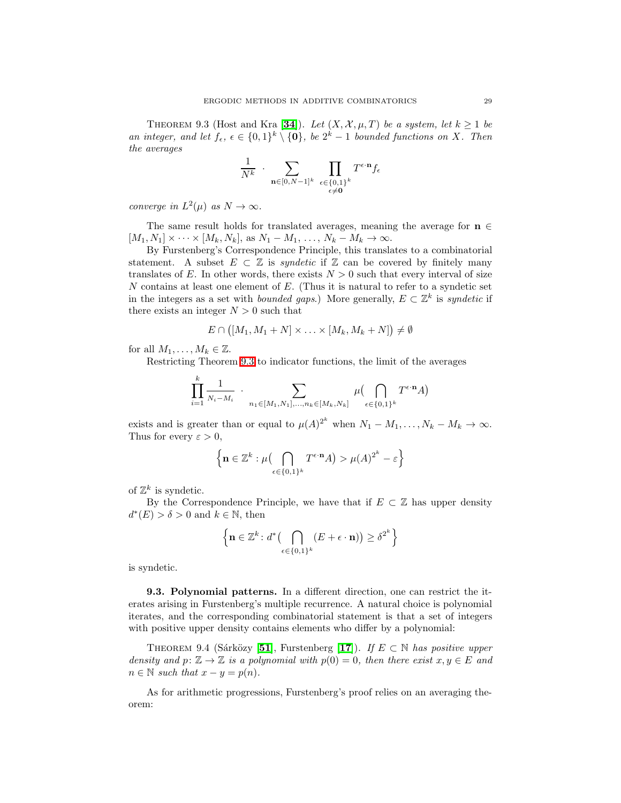THEOREM 9.3 (Host and Kra [[34](#page-36-4)]). Let  $(X, \mathcal{X}, \mu, T)$  be a system, let  $k \geq 1$  be an integer, and let  $f_{\epsilon}$ ,  $\epsilon \in \{0,1\}^k \setminus \{\mathbf{0}\}$ , be  $2^k - 1$  bounded functions on X. Then the averages

$$
\frac{1}{N^k} \cdot \sum_{\mathbf{n} \in [0, N-1]^k} \prod_{\substack{\epsilon \in \{0, 1\}^k \\ \epsilon \neq \mathbf{0}}} T^{\epsilon \cdot \mathbf{n}} f_{\epsilon}
$$

converge in  $L^2(\mu)$  as  $N \to \infty$ .

The same result holds for translated averages, meaning the average for  $\mathbf{n}\in$  $[M_1, N_1] \times \cdots \times [M_k, N_k]$ , as  $N_1 - M_1, \ldots, N_k - M_k \rightarrow \infty$ .

By Furstenberg's Correspondence Principle, this translates to a combinatorial statement. A subset  $E \subset \mathbb{Z}$  is *syndetic* if  $\mathbb{Z}$  can be covered by finitely many translates of E. In other words, there exists  $N > 0$  such that every interval of size N contains at least one element of  $E$ . (Thus it is natural to refer to a syndetic set in the integers as a set with *bounded gaps*.) More generally,  $E \subset \mathbb{Z}^k$  is *syndetic* if there exists an integer  $N > 0$  such that

$$
E\cap ([M_1, M_1+N]\times \ldots\times [M_k, M_k+N])\neq \emptyset
$$

for all  $M_1, \ldots, M_k \in \mathbb{Z}$ .

Restricting Theorem [9.3](#page-27-0) to indicator functions, the limit of the averages

$$
\prod_{i=1}^k \frac{1}{N_i - M_i} \cdot \sum_{n_1 \in [M_1, N_1], \dots, n_k \in [M_k, N_k]} \mu \left( \bigcap_{\epsilon \in \{0, 1\}^k} T^{\epsilon \cdot \mathbf{n}} A \right)
$$

exists and is greater than or equal to  $\mu(A)^{2^k}$  when  $N_1 - M_1, \ldots, N_k - M_k \to \infty$ . Thus for every  $\varepsilon > 0$ ,

$$
\left\{ \mathbf{n} \in \mathbb{Z}^k : \mu \big( \bigcap_{\epsilon \in \{0,1\}^k} T^{\epsilon \cdot \mathbf{n}} A \big) > \mu(A)^{2^k} - \varepsilon \right\}
$$

of  $\mathbb{Z}^k$  is syndetic.

By the Correspondence Principle, we have that if  $E \subset \mathbb{Z}$  has upper density  $d^*(E) > \delta > 0$  and  $k \in \mathbb{N}$ , then

$$
\left\{ \mathbf{n} \in \mathbb{Z}^k \colon d^* \big( \bigcap_{\epsilon \in \{0,1\}^k} (E + \epsilon \cdot \mathbf{n}) \big) \ge \delta^{2^k} \right\}
$$

is syndetic.

9.3. Polynomial patterns. In a different direction, one can restrict the iterates arising in Furstenberg's multiple recurrence. A natural choice is polynomial iterates, and the corresponding combinatorial statement is that a set of integers with positive upper density contains elements who differ by a polynomial:

THEOREM 9.4 (Sárközy [[51](#page-37-12)], Furstenberg [[17](#page-36-1)]). If  $E \subset \mathbb{N}$  has positive upper density and  $p: \mathbb{Z} \to \mathbb{Z}$  is a polynomial with  $p(0) = 0$ , then there exist  $x, y \in E$  and  $n \in \mathbb{N}$  such that  $x - y = p(n)$ .

As for arithmetic progressions, Furstenberg's proof relies on an averaging theorem: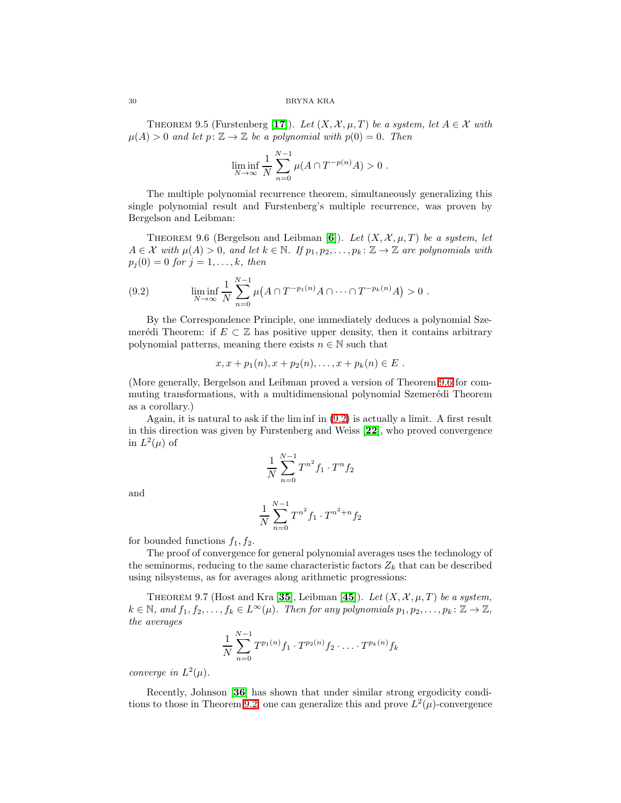THEOREM 9.5 (Furstenberg [[17](#page-36-1)]). Let  $(X, \mathcal{X}, \mu, T)$  be a system, let  $A \in \mathcal{X}$  with  $\mu(A) > 0$  and let  $p: \mathbb{Z} \to \mathbb{Z}$  be a polynomial with  $p(0) = 0$ . Then

$$
\liminf_{N \to \infty} \frac{1}{N} \sum_{n=0}^{N-1} \mu(A \cap T^{-p(n)}A) > 0.
$$

The multiple polynomial recurrence theorem, simultaneously generalizing this single polynomial result and Furstenberg's multiple recurrence, was proven by Bergelson and Leibman:

<span id="page-29-1"></span><span id="page-29-0"></span>THEOREM 9.[6](#page-35-3) (Bergelson and Leibman [6]). Let  $(X, \mathcal{X}, \mu, T)$  be a system, let  $A \in \mathcal{X}$  with  $\mu(A) > 0$ , and let  $k \in \mathbb{N}$ . If  $p_1, p_2, \ldots, p_k \colon \mathbb{Z} \to \mathbb{Z}$  are polynomials with  $p_j(0) = 0$  for  $j = 1, ..., k$ , then

(9.2) 
$$
\liminf_{N \to \infty} \frac{1}{N} \sum_{n=0}^{N-1} \mu(A \cap T^{-p_1(n)} A \cap \dots \cap T^{-p_k(n)} A) > 0.
$$

By the Correspondence Principle, one immediately deduces a polynomial Szemerédi Theorem: if  $E \subset \mathbb{Z}$  has positive upper density, then it contains arbitrary polynomial patterns, meaning there exists  $n \in \mathbb{N}$  such that

$$
x, x + p_1(n), x + p_2(n), \ldots, x + p_k(n) \in E
$$
.

(More generally, Bergelson and Leibman proved a version of Theorem [9.6](#page-29-0) for commuting transformations, with a multidimensional polynomial Szemerédi Theorem as a corollary.)

Again, it is natural to ask if the lim inf in [\(9.2\)](#page-29-1) is actually a limit. A first result in this direction was given by Furstenberg and Weiss [[22](#page-36-2)], who proved convergence in  $L^2(\mu)$  of

$$
\frac{1}{N}\sum_{n=0}^{N-1}T^{n^2}f_1\cdot T^nf_2
$$

and

$$
\frac{1}{N} \sum_{n=0}^{N-1} T^{n^2} f_1 \cdot T^{n^2+n} f_2
$$

for bounded functions  $f_1, f_2$ .

The proof of convergence for general polynomial averages uses the technology of the seminorms, reducing to the same characteristic factors  $Z_k$  that can be described using nilsystems, as for averages along arithmetic progressions:

THEOREM 9.7 (Host and Kra [[35](#page-36-11)], Leibman [[45](#page-37-1)]). Let  $(X, \mathcal{X}, \mu, T)$  be a system,  $k \in \mathbb{N}$ , and  $f_1, f_2, \ldots, f_k \in L^{\infty}(\mu)$ . Then for any polynomials  $p_1, p_2, \ldots, p_k : \mathbb{Z} \to \mathbb{Z}$ , the averages

$$
\frac{1}{N} \sum_{n=0}^{N-1} T^{p_1(n)} f_1 \cdot T^{p_2(n)} f_2 \cdot \ldots \cdot T^{p_k(n)} f_k
$$

converge in  $L^2(\mu)$ .

Recently, Johnson [[36](#page-36-26)] has shown that under similar strong ergodicity condi-tions to those in Theorem [9.2,](#page-27-1) one can generalize this and prove  $L^2(\mu)$ -convergence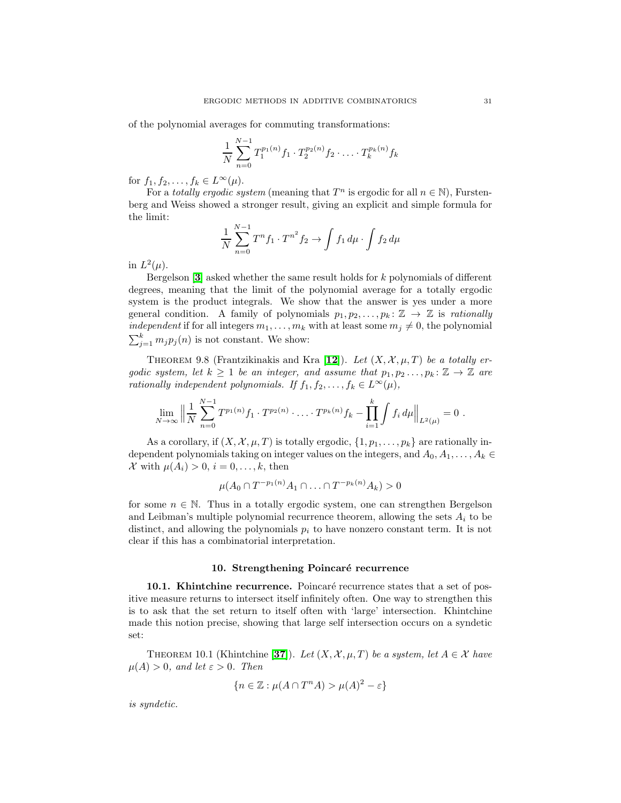of the polynomial averages for commuting transformations:

$$
\frac{1}{N} \sum_{n=0}^{N-1} T_1^{p_1(n)} f_1 \cdot T_2^{p_2(n)} f_2 \cdot \ldots \cdot T_k^{p_k(n)} f_k
$$

for  $f_1, f_2, \ldots, f_k \in L^{\infty}(\mu)$ .

For a *totally ergodic system* (meaning that  $T^n$  is ergodic for all  $n \in \mathbb{N}$ ), Furstenberg and Weiss showed a stronger result, giving an explicit and simple formula for the limit:

$$
\frac{1}{N} \sum_{n=0}^{N-1} T^n f_1 \cdot T^{n^2} f_2 \to \int f_1 d\mu \cdot \int f_2 d\mu
$$

in  $L^2(\mu)$ .

Bergelson  $[3]$  $[3]$  $[3]$  asked whether the same result holds for k polynomials of different degrees, meaning that the limit of the polynomial average for a totally ergodic system is the product integrals. We show that the answer is yes under a more general condition. A family of polynomials  $p_1, p_2, \ldots, p_k : \mathbb{Z} \to \mathbb{Z}$  is rationally independent if for all integers  $m_1, \ldots, m_k$  with at least some  $m_j \neq 0$ , the polynomial  $\sum_{j=1}^{k} m_j p_j(n)$  is not constant. We show:

THEOREM 9.8 (Frantzikinakis and Kra [[12](#page-35-9)]). Let  $(X, \mathcal{X}, \mu, T)$  be a totally ergodic system, let  $k \geq 1$  be an integer, and assume that  $p_1, p_2 \ldots, p_k \colon \mathbb{Z} \to \mathbb{Z}$  are rationally independent polynomials. If  $f_1, f_2, \ldots, f_k \in L^{\infty}(\mu)$ ,

$$
\lim_{N \to \infty} \left\| \frac{1}{N} \sum_{n=0}^{N-1} T^{p_1(n)} f_1 \cdot T^{p_2(n)} \cdot \ldots \cdot T^{p_k(n)} f_k - \prod_{i=1}^k \int f_i \, d\mu \right\|_{L^2(\mu)} = 0 \; .
$$

As a corollary, if  $(X, \mathcal{X}, \mu, T)$  is totally ergodic,  $\{1, p_1, \ldots, p_k\}$  are rationally independent polynomials taking on integer values on the integers, and  $A_0, A_1, \ldots, A_k \in$ X with  $\mu(A_i) > 0$ ,  $i = 0, \ldots, k$ , then

$$
\mu(A_0 \cap T^{-p_1(n)}A_1 \cap \ldots \cap T^{-p_k(n)}A_k) > 0
$$

for some  $n \in \mathbb{N}$ . Thus in a totally ergodic system, one can strengthen Bergelson and Leibman's multiple polynomial recurrence theorem, allowing the sets  $A_i$  to be distinct, and allowing the polynomials  $p_i$  to have nonzero constant term. It is not clear if this has a combinatorial interpretation.

# 10. Strengthening Poincaré recurrence

10.1. Khintchine recurrence. Poincaré recurrence states that a set of positive measure returns to intersect itself infinitely often. One way to strengthen this is to ask that the set return to itself often with 'large' intersection. Khintchine made this notion precise, showing that large self intersection occurs on a syndetic set:

THEOREM 10.1 (Khintchine [[37](#page-36-27)]). Let  $(X, \mathcal{X}, \mu, T)$  be a system, let  $A \in \mathcal{X}$  have  $\mu(A) > 0$ , and let  $\varepsilon > 0$ . Then

$$
\{n \in \mathbb{Z} : \mu(A \cap T^n A) > \mu(A)^2 - \varepsilon\}
$$

is syndetic.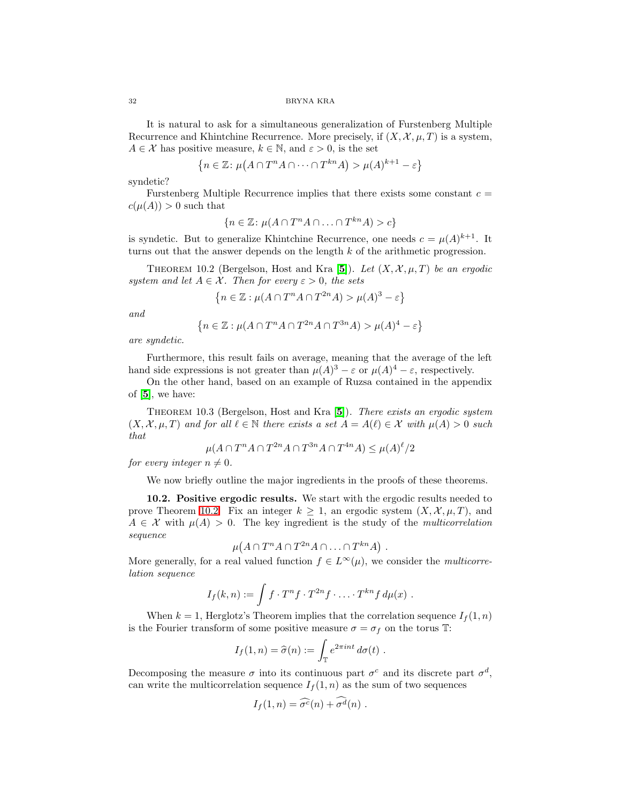It is natural to ask for a simultaneous generalization of Furstenberg Multiple Recurrence and Khintchine Recurrence. More precisely, if  $(X, \mathcal{X}, \mu, T)$  is a system,  $A \in \mathcal{X}$  has positive measure,  $k \in \mathbb{N}$ , and  $\varepsilon > 0$ , is the set

$$
\left\{n \in \mathbb{Z} \colon \mu(A \cap T^n A \cap \dots \cap T^{kn} A) > \mu(A)^{k+1} - \varepsilon\right\}
$$

syndetic?

Furstenberg Multiple Recurrence implies that there exists some constant  $c =$  $c(\mu(A)) > 0$  such that

$$
\{n \in \mathbb{Z} \colon \mu(A \cap T^n A \cap \ldots \cap T^{kn} A) > c\}
$$

<span id="page-31-0"></span>is syndetic. But to generalize Khintchine Recurrence, one needs  $c = \mu(A)^{k+1}$ . It turns out that the answer depends on the length k of the arithmetic progression.

THEOREM 10.2 (Bergelson, Host and Kra [[5](#page-35-10)]). Let  $(X, \mathcal{X}, \mu, T)$  be an ergodic system and let  $A \in \mathcal{X}$ . Then for every  $\varepsilon > 0$ , the sets

$$
\left\{ n \in \mathbb{Z} : \mu(A \cap T^n A \cap T^{2n} A) > \mu(A)^3 - \varepsilon \right\}
$$

and

$$
\left\{n\in\mathbb{Z}:\mu(A\cap T^nA\cap T^{2n}A\cap T^{3n}A)>\mu(A)^4-\varepsilon\right\}
$$

are syndetic.

Furthermore, this result fails on average, meaning that the average of the left hand side expressions is not greater than  $\mu(A)^3 - \varepsilon$  or  $\mu(A)^4 - \varepsilon$ , respectively.

<span id="page-31-1"></span>On the other hand, based on an example of Ruzsa contained in the appendix of  $[5]$  $[5]$  $[5]$ , we have:

THEOREM 10.3 (Bergelson, Host and Kra [[5](#page-35-10)]). There exists an ergodic system  $(X, \mathcal{X}, \mu, T)$  and for all  $\ell \in \mathbb{N}$  there exists a set  $A = A(\ell) \in \mathcal{X}$  with  $\mu(A) > 0$  such that

$$
\mu(A \cap T^n A \cap T^{2n} A \cap T^{3n} A \cap T^{4n} A) \le \mu(A)^{\ell}/2
$$

for every integer  $n \neq 0$ .

We now briefly outline the major ingredients in the proofs of these theorems.

10.2. Positive ergodic results. We start with the ergodic results needed to prove Theorem [10.2.](#page-31-0) Fix an integer  $k > 1$ , an ergodic system  $(X, \mathcal{X}, \mu, T)$ , and  $A \in \mathcal{X}$  with  $\mu(A) > 0$ . The key ingredient is the study of the *multicorrelation* sequence

$$
\mu(A \cap T^n A \cap T^{2n} A \cap \ldots \cap T^{kn} A) .
$$

More generally, for a real valued function  $f \in L^{\infty}(\mu)$ , we consider the *multicorre*lation sequence

$$
I_f(k,n) := \int f \cdot T^n f \cdot T^{2n} f \cdot \ldots \cdot T^{kn} f d\mu(x) .
$$

When  $k = 1$ , Herglotz's Theorem implies that the correlation sequence  $I_f(1, n)$ is the Fourier transform of some positive measure  $\sigma = \sigma_f$  on the torus T:

$$
I_f(1,n) = \hat{\sigma}(n) := \int_{\mathbb{T}} e^{2\pi int} d\sigma(t) .
$$

Decomposing the measure  $\sigma$  into its continuous part  $\sigma^c$  and its discrete part  $\sigma^d$ , can write the multicorrelation sequence  $I_f(1,n)$  as the sum of two sequences

$$
I_f(1,n) = \widehat{\sigma^c}(n) + \widehat{\sigma^d}(n) .
$$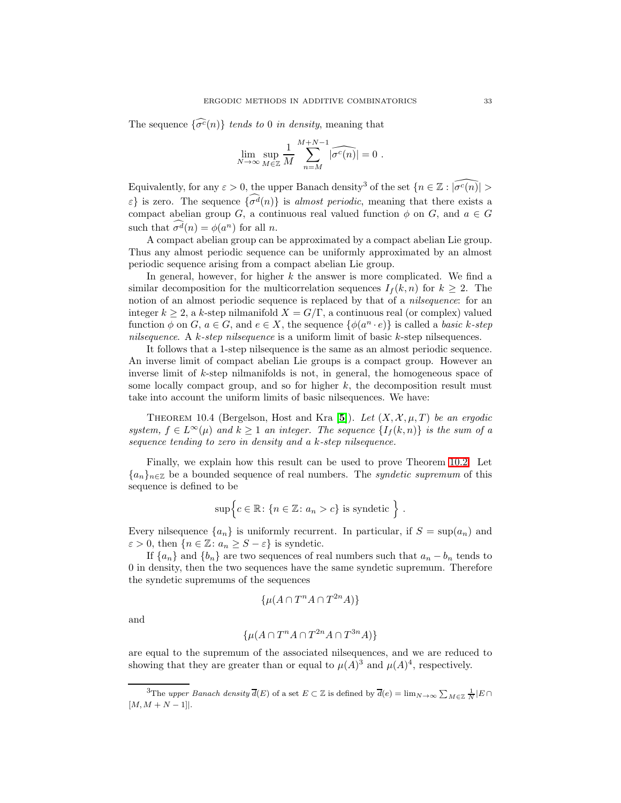The sequence  $\{\widehat{\sigma^c}(n)\}\)$  tends to 0 in density, meaning that

$$
\lim_{N \to \infty} \sup_{M \in \mathbb{Z}} \frac{1}{M} \sum_{n=M}^{M+N-1} |\widehat{\sigma^c(n)}| = 0.
$$

Equivalently, for any  $\varepsilon > 0$ , the upper Banach density<sup>3</sup> of the set  $\{n \in \mathbb{Z} : |\widehat{\sigma^c(n)}| > \varepsilon\}$  $\varepsilon$  is zero. The sequence  $\{\widehat{\sigma^d}(n)\}\$ is almost periodic, meaning that there exists a compact abelian group G, a continuous real valued function  $\phi$  on G, and  $a \in G$ such that  $\sigma^d(n) = \phi(a^n)$  for all *n*.

A compact abelian group can be approximated by a compact abelian Lie group. Thus any almost periodic sequence can be uniformly approximated by an almost periodic sequence arising from a compact abelian Lie group.

In general, however, for higher  $k$  the answer is more complicated. We find a similar decomposition for the multicorrelation sequences  $I_f(k, n)$  for  $k \geq 2$ . The notion of an almost periodic sequence is replaced by that of a nilsequence: for an integer  $k \geq 2$ , a k-step nilmanifold  $X = G/\Gamma$ , a continuous real (or complex) valued function  $\phi$  on  $G, a \in G$ , and  $e \in X$ , the sequence  $\{\phi(a^n \cdot e)\}\$ is called a *basic k-step* nilsequence. A  $k$ -step nilsequence is a uniform limit of basic  $k$ -step nilsequences.

It follows that a 1-step nilsequence is the same as an almost periodic sequence. An inverse limit of compact abelian Lie groups is a compact group. However an inverse limit of k-step nilmanifolds is not, in general, the homogeneous space of some locally compact group, and so for higher  $k$ , the decomposition result must take into account the uniform limits of basic nilsequences. We have:

THEOREM 10.4 (Bergelson, Host and Kra [[5](#page-35-10)]). Let  $(X, \mathcal{X}, \mu, T)$  be an ergodic system,  $f \in L^{\infty}(\mu)$  and  $k \geq 1$  an integer. The sequence  $\{I_f(k,n)\}\$ is the sum of a sequence tending to zero in density and a k-step nilsequence.

Finally, we explain how this result can be used to prove Theorem [10.2.](#page-31-0) Let  ${a_n}_{n \in \mathbb{Z}}$  be a bounded sequence of real numbers. The *syndetic supremum* of this sequence is defined to be

$$
\sup \Big\{ c \in \mathbb{R} \colon \{ n \in \mathbb{Z} \colon a_n > c \} \text{ is syntetic } \Big\} .
$$

Every nilsequence  $\{a_n\}$  is uniformly recurrent. In particular, if  $S = \sup(a_n)$  and  $\varepsilon > 0$ , then  $\{n \in \mathbb{Z} : a_n \geq S - \varepsilon\}$  is syndetic.

If  $\{a_n\}$  and  $\{b_n\}$  are two sequences of real numbers such that  $a_n - b_n$  tends to 0 in density, then the two sequences have the same syndetic supremum. Therefore the syndetic supremums of the sequences

$$
\{\mu(A \cap T^n A \cap T^{2n} A)\}
$$

and

$$
\{\mu(A\cap T^nA\cap T^{2n}A\cap T^{3n}A)\}
$$

are equal to the supremum of the associated nilsequences, and we are reduced to showing that they are greater than or equal to  $\mu(A)^3$  and  $\mu(A)^4$ , respectively.

<sup>&</sup>lt;sup>3</sup>The upper Banach density  $\overline{d}(E)$  of a set  $E \subset \mathbb{Z}$  is defined by  $\overline{d}(e) = \lim_{N \to \infty} \sum_{M \in \mathbb{Z}} \frac{1}{N} |E \cap E|$  $[M, M + N - 1]$ .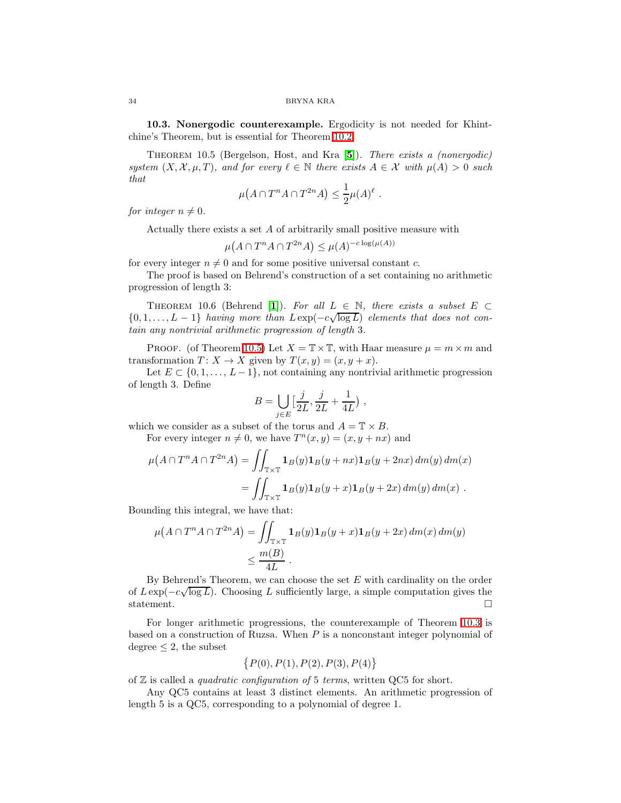<span id="page-33-0"></span>10.3. Nonergodic counterexample. Ergodicity is not needed for Khintchine's Theorem, but is essential for Theorem [10.2:](#page-31-0)

Theorem 10.5 (Bergelson, Host, and Kra [[5](#page-35-10)]). There exists a (nonergodic) system  $(X, \mathcal{X}, \mu, T)$ , and for every  $\ell \in \mathbb{N}$  there exists  $A \in \mathcal{X}$  with  $\mu(A) > 0$  such that

$$
\mu(A \cap T^n A \cap T^{2n} A) \leq \frac{1}{2} \mu(A)^{\ell} .
$$

for integer  $n \neq 0$ .

Actually there exists a set  $A$  of arbitrarily small positive measure with

 $\mu(A \cap T^n A \cap T^{2n} A) \leq \mu(A)^{-c \log(\mu(A))}$ 

for every integer  $n \neq 0$  and for some positive universal constant c.

The proof is based on Behrend's construction of a set containing no arithmetic progression of length 3:

THEOREM [1](#page-35-11)0.6 (Behrend [1]). For all  $L \in \mathbb{N}$ , there exists a subset  $E \subset$  ${0, 1, \ldots, L-1}$  having more than  $L \exp(-c\sqrt{\log L})$  elements that does not contain any nontrivial arithmetic progression of length 3.

PROOF. (of Theorem [10.5\)](#page-33-0) Let  $X = \mathbb{T} \times \mathbb{T}$ , with Haar measure  $\mu = m \times m$  and transformation  $T: X \to X$  given by  $T(x, y) = (x, y + x)$ .

Let  $E \subset \{0, 1, \ldots, L-1\}$ , not containing any nontrivial arithmetic progression of length 3. Define

$$
B=\bigcup_{j\in E}\bigl[\frac{j}{2L},\frac{j}{2L}+\frac{1}{4L}\bigr)\;,
$$

which we consider as a subset of the torus and  $A = \mathbb{T} \times B$ .

For every integer  $n \neq 0$ , we have  $T^n(x, y) = (x, y + nx)$  and

$$
\mu(A \cap T^n A \cap T^{2n} A) = \iint_{\mathbb{T} \times \mathbb{T}} \mathbf{1}_B(y) \mathbf{1}_B(y + nx) \mathbf{1}_B(y + 2nx) dm(y) dm(x)
$$
  
= 
$$
\iint_{\mathbb{T} \times \mathbb{T}} \mathbf{1}_B(y) \mathbf{1}_B(y + x) \mathbf{1}_B(y + 2x) dm(y) dm(x) .
$$

Bounding this integral, we have that:

$$
\mu(A \cap T^n A \cap T^{2n} A) = \iint_{\mathbb{T} \times \mathbb{T}} \mathbf{1}_B(y) \mathbf{1}_B(y+x) \mathbf{1}_B(y+2x) \, dm(x) \, dm(y)
$$
  

$$
\leq \frac{m(B)}{4L}.
$$

By Behrend's Theorem, we can choose the set  $E$  with cardinality on the order of  $L \exp(-c\sqrt{\log L})$ . Choosing L sufficiently large, a simple computation gives the statement.  $\Box$ 

For longer arithmetic progressions, the counterexample of Theorem [10.3](#page-31-1) is based on a construction of Ruzsa. When  $P$  is a nonconstant integer polynomial of degree  $\leq 2$ , the subset

$$
\{P(0), P(1), P(2), P(3), P(4)\}
$$

of  $Z$  is called a *quadratic configuration of* 5 terms, written QC5 for short.

Any QC5 contains at least 3 distinct elements. An arithmetic progression of length 5 is a QC5, corresponding to a polynomial of degree 1.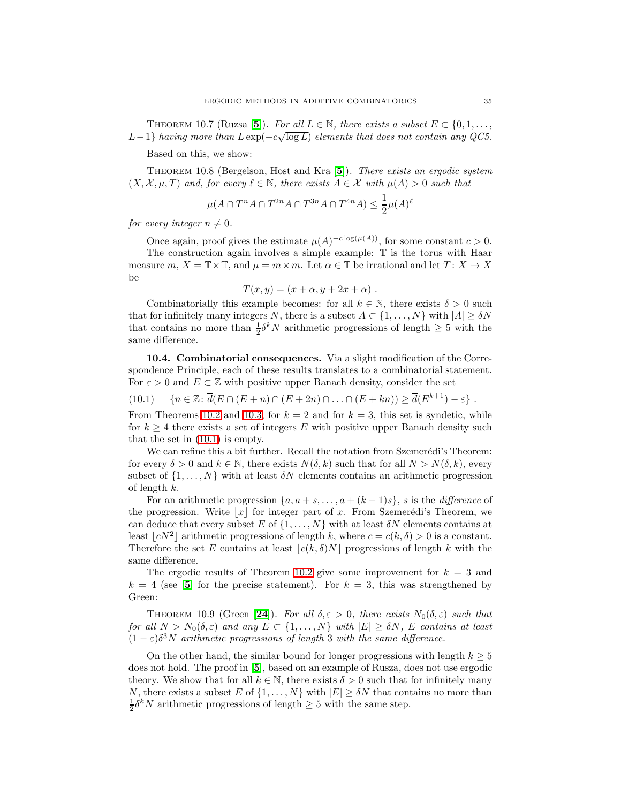THEOREM 10.7 (Ruzsa [[5](#page-35-10)]). For all  $L \in \mathbb{N}$ , there exists a subset  $E \subset \{0, 1, \ldots,$ L−1} having more than  $L \exp(-c\sqrt{\log L})$  elements that does not contain any QC5.

Based on this, we show:

Theorem 10.8 (Bergelson, Host and Kra [[5](#page-35-10)]). There exists an ergodic system  $(X, \mathcal{X}, \mu, T)$  and, for every  $\ell \in \mathbb{N}$ , there exists  $A \in \mathcal{X}$  with  $\mu(A) > 0$  such that

$$
\mu(A \cap T^n A \cap T^{2n} A \cap T^{3n} A \cap T^{4n} A) \le \frac{1}{2} \mu(A)^{\ell}
$$

for every integer  $n \neq 0$ .

Once again, proof gives the estimate  $\mu(A)^{-c \log(\mu(A))}$ , for some constant  $c > 0$ . The construction again involves a simple example: T is the torus with Haar measure m,  $X = \mathbb{T} \times \mathbb{T}$ , and  $\mu = m \times m$ . Let  $\alpha \in \mathbb{T}$  be irrational and let  $T: X \to X$ be

<span id="page-34-0"></span>
$$
T(x,y) = (x + \alpha, y + 2x + \alpha) .
$$

Combinatorially this example becomes: for all  $k \in \mathbb{N}$ , there exists  $\delta > 0$  such that for infinitely many integers N, there is a subset  $A \subset \{1, \ldots, N\}$  with  $|A| \ge \delta N$ that contains no more than  $\frac{1}{2}\delta^k N$  arithmetic progressions of length  $\geq 5$  with the same difference.

10.4. Combinatorial consequences. Via a slight modification of the Correspondence Principle, each of these results translates to a combinatorial statement. For  $\varepsilon > 0$  and  $E \subset \mathbb{Z}$  with positive upper Banach density, consider the set

(10.1)  $\{n \in \mathbb{Z} : \overline{d}(E \cap (E+n) \cap (E+2n) \cap ... \cap (E+kn)) \ge \overline{d}(E^{k+1}) - \varepsilon\}.$ 

From Theorems [10.2](#page-31-0) and [10.3,](#page-31-1) for  $k = 2$  and for  $k = 3$ , this set is syndetic, while for  $k \geq 4$  there exists a set of integers E with positive upper Banach density such that the set in [\(10.1\)](#page-34-0) is empty.

We can refine this a bit further. Recall the notation from Szemerédi's Theorem: for every  $\delta > 0$  and  $k \in \mathbb{N}$ , there exists  $N(\delta, k)$  such that for all  $N > N(\delta, k)$ , every subset of  $\{1, \ldots, N\}$  with at least  $\delta N$  elements contains an arithmetic progression of length k.

For an arithmetic progression  $\{a, a + s, \ldots, a + (k-1)s\}$ , s is the *difference* of the progression. Write  $|x|$  for integer part of x. From Szemerédi's Theorem, we can deduce that every subset E of  $\{1, \ldots, N\}$  with at least  $\delta N$  elements contains at least  $\lfloor cN^2 \rfloor$  arithmetic progressions of length k, where  $c = c(k, \delta) > 0$  is a constant. Therefore the set E contains at least  $|c(k,\delta)N|$  progressions of length k with the same difference.

The ergodic results of Theorem [10.2](#page-31-0) give some improvement for  $k = 3$  and  $k = 4$  (see [[5](#page-35-10)] for the precise statement). For  $k = 3$ , this was strengthened by Green:

THEOREM 10.9 (Green [[24](#page-36-28)]). For all  $\delta, \varepsilon > 0$ , there exists  $N_0(\delta, \varepsilon)$  such that for all  $N > N_0(\delta, \varepsilon)$  and any  $E \subset \{1, ..., N\}$  with  $|E| \geq \delta N$ , E contains at least  $(1 - \varepsilon)\delta^3 N$  arithmetic progressions of length 3 with the same difference.

On the other hand, the similar bound for longer progressions with length  $k \geq 5$ does not hold. The proof in [[5](#page-35-10)], based on an example of Rusza, does not use ergodic theory. We show that for all  $k \in \mathbb{N}$ , there exists  $\delta > 0$  such that for infinitely many N, there exists a subset E of  $\{1,\ldots,N\}$  with  $|E|\geq \delta N$  that contains no more than  $\frac{1}{2}\delta^k N$  arithmetic progressions of length  $\geq 5$  with the same step.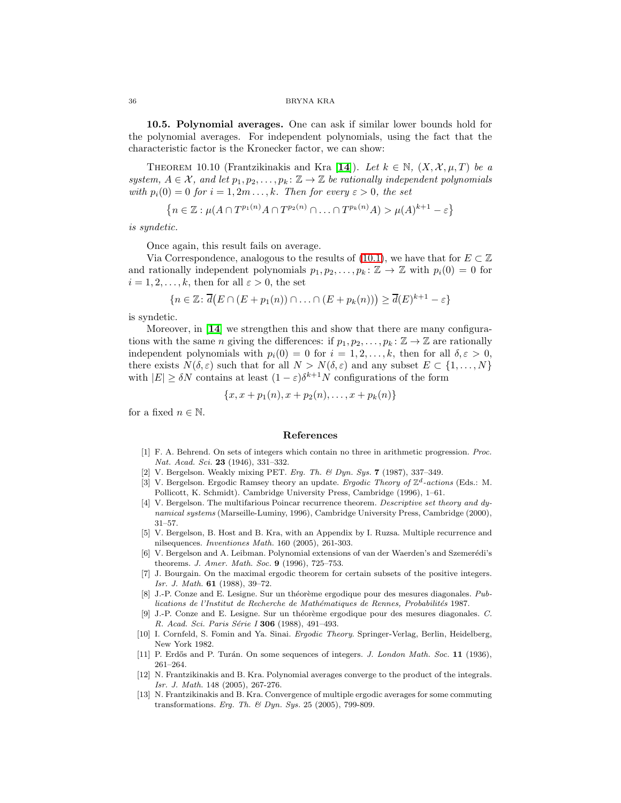10.5. Polynomial averages. One can ask if similar lower bounds hold for the polynomial averages. For independent polynomials, using the fact that the characteristic factor is the Kronecker factor, we can show:

THEOREM 10.10 (Frantzikinakis and Kra [[14](#page-36-29)]). Let  $k \in \mathbb{N}$ ,  $(X, \mathcal{X}, \mu, T)$  be a system,  $A \in \mathcal{X}$ , and let  $p_1, p_2, \ldots, p_k : \mathbb{Z} \to \mathbb{Z}$  be rationally independent polynomials with  $p_i(0) = 0$  for  $i = 1, 2m \ldots, k$ . Then for every  $\varepsilon > 0$ , the set

$$
\left\{n \in \mathbb{Z} : \mu(A \cap T^{p_1(n)}A \cap T^{p_2(n)} \cap \ldots \cap T^{p_k(n)}A) > \mu(A)^{k+1} - \varepsilon\right\}
$$

is syndetic.

Once again, this result fails on average.

Via Correspondence, analogous to the results of [\(10.1\)](#page-34-0), we have that for  $E \subset \mathbb{Z}$ and rationally independent polynomials  $p_1, p_2, \ldots, p_k : \mathbb{Z} \to \mathbb{Z}$  with  $p_i(0) = 0$  for  $i = 1, 2, \ldots, k$ , then for all  $\varepsilon > 0$ , the set

$$
\{n \in \mathbb{Z} \colon \overline{d}(E \cap (E + p_1(n)) \cap \ldots \cap (E + p_k(n))) \geq \overline{d}(E)^{k+1} - \varepsilon\}
$$

is syndetic.

Moreover, in [[14](#page-36-29)] we strengthen this and show that there are many configurations with the same *n* giving the differences: if  $p_1, p_2, \ldots, p_k : \mathbb{Z} \to \mathbb{Z}$  are rationally independent polynomials with  $p_i(0) = 0$  for  $i = 1, 2, \ldots, k$ , then for all  $\delta, \varepsilon > 0$ , there exists  $N(\delta, \varepsilon)$  such that for all  $N > N(\delta, \varepsilon)$  and any subset  $E \subset \{1, \ldots, N\}$ with  $|E| \ge \delta N$  contains at least  $(1 - \varepsilon)\delta^{k+1} N$  configurations of the form

$$
\{x, x + p_1(n), x + p_2(n), \ldots, x + p_k(n)\}\
$$

<span id="page-35-11"></span>for a fixed  $n \in \mathbb{N}$ .

### References

- [1] F. A. Behrend. On sets of integers which contain no three in arithmetic progression. Proc. Nat. Acad. Sci. 23 (1946), 331-332.
- <span id="page-35-5"></span>[2] V. Bergelson. Weakly mixing PET. Erg. Th. & Dyn. Sys. 7 (1987), 337-349.
- <span id="page-35-8"></span><span id="page-35-7"></span>[3] V. Bergelson. Ergodic Ramsey theory an update. Ergodic Theory of  $\mathbb{Z}^d$ -actions (Eds.: M. Pollicott, K. Schmidt). Cambridge University Press, Cambridge (1996), 1–61.
- [4] V. Bergelson. The multifarious Poincar recurrence theorem. Descriptive set theory and dynamical systems (Marseille-Luminy, 1996), Cambridge University Press, Cambridge (2000), 31–57.
- <span id="page-35-10"></span>[5] V. Bergelson, B. Host and B. Kra, with an Appendix by I. Ruzsa. Multiple recurrence and nilsequences. Inventiones Math. 160 (2005), 261-303.
- <span id="page-35-3"></span>[6] V. Bergelson and A. Leibman. Polynomial extensions of van der Waerden's and Szemerédi's theorems. J. Amer. Math. Soc. 9 (1996), 725–753.
- [7] J. Bourgain. On the maximal ergodic theorem for certain subsets of the positive integers. Isr. J. Math. 61 (1988), 39–72.
- <span id="page-35-1"></span>J.-P. Conze and E. Lesigne. Sur un théorème ergodique pour des mesures diagonales. Publications de l'Institut de Recherche de Mathématiques de Rennes, Probabilités 1987.
- <span id="page-35-2"></span>[9] J.-P. Conze and E. Lesigne. Sur un théorème ergodique pour des mesures diagonales. C. R. Acad. Sci. Paris Série I 306 (1988), 491-493.
- <span id="page-35-4"></span>[10] I. Cornfeld, S. Fomin and Ya. Sinai. Ergodic Theory. Springer-Verlag, Berlin, Heidelberg, New York 1982.
- <span id="page-35-0"></span>[11] P. Erdős and P. Turán. On some sequences of integers. J. London Math. Soc. 11 (1936), 261–264.
- <span id="page-35-9"></span>[12] N. Frantzikinakis and B. Kra. Polynomial averages converge to the product of the integrals. Isr. J. Math. 148 (2005), 267-276.
- <span id="page-35-6"></span>[13] N. Frantzikinakis and B. Kra. Convergence of multiple ergodic averages for some commuting transformations. Erg. Th. & Dyn. Sys. 25 (2005), 799-809.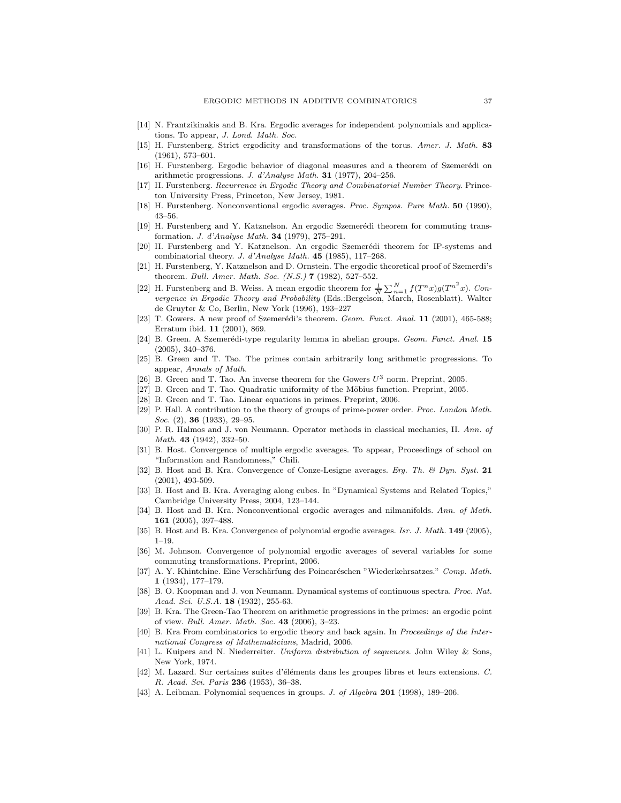- <span id="page-36-29"></span>[14] N. Frantzikinakis and B. Kra. Ergodic averages for independent polynomials and applications. To appear, J. Lond. Math. Soc.
- <span id="page-36-20"></span><span id="page-36-0"></span>[15] H. Furstenberg. Strict ergodicity and transformations of the torus. Amer. J. Math. 83 (1961), 573–601.
- [16] H. Furstenberg. Ergodic behavior of diagonal measures and a theorem of Szemerédi on arithmetic progressions. J. d'Analyse Math. 31 (1977), 204-256.
- <span id="page-36-16"></span><span id="page-36-1"></span>[17] H. Furstenberg. Recurrence in Ergodic Theory and Combinatorial Number Theory. Princeton University Press, Princeton, New Jersey, 1981.
- [18] H. Furstenberg. Nonconventional ergodic averages. Proc. Sympos. Pure Math. 50 (1990), 43–56.
- <span id="page-36-24"></span><span id="page-36-23"></span>[19] H. Furstenberg and Y. Katznelson. An ergodic Szemerédi theorem for commuting transformation. J. d'Analyse Math. 34 (1979), 275–291.
- [20] H. Furstenberg and Y. Katznelson. An ergodic Szemerédi theorem for IP-systems and combinatorial theory. J. d'Analyse Math. 45 (1985), 117-268.
- <span id="page-36-15"></span>[21] H. Furstenberg, Y. Katznelson and D. Ornstein. The ergodic theoretical proof of Szemerdi's theorem. Bull. Amer. Math. Soc. (N.S.) **7** (1982), 527-552.
- <span id="page-36-2"></span>[22] H. Furstenberg and B. Weiss. A mean ergodic theorem for  $\frac{1}{N} \sum_{n=1}^{N} f(T^n x) g(T^{n^2} x)$ . Convergence in Ergodic Theory and Probability (Eds.:Bergelson, March, Rosenblatt). Walter de Gruyter & Co, Berlin, New York (1996), 193–227
- <span id="page-36-21"></span>[23] T. Gowers. A new proof of Szemerédi's theorem. Geom. Funct. Anal.  $11$  (2001), 465-588; Erratum ibid. 11 (2001), 869.
- <span id="page-36-28"></span>[24] B. Green. A Szemerédi-type regularity lemma in abelian groups. Geom. Funct. Anal. 15 (2005), 340–376.
- <span id="page-36-22"></span><span id="page-36-8"></span>[25] B. Green and T. Tao. The primes contain arbitrarily long arithmetic progressions. To appear, Annals of Math.
- [26] B. Green and T. Tao. An inverse theorem for the Gowers  $U^3$  norm. Preprint, 2005.
- <span id="page-36-10"></span><span id="page-36-9"></span>[27] B. Green and T. Tao. Quadratic uniformity of the Möbius function. Preprint, 2005.
- [28] B. Green and T. Tao. Linear equations in primes. Preprint, 2006.
- <span id="page-36-17"></span>[29] P. Hall. A contribution to the theory of groups of prime-power order. Proc. London Math. Soc. (2), **36** (1933), 29–95.
- <span id="page-36-12"></span>[30] P. R. Halmos and J. von Neumann. Operator methods in classical mechanics, II. Ann. of Math. 43 (1942), 332–50.
- <span id="page-36-6"></span><span id="page-36-3"></span>[31] B. Host. Convergence of multiple ergodic averages. To appear, Proceedings of school on "Information and Randomness," Chili.
- [32] B. Host and B. Kra. Convergence of Conze-Lesigne averages. Erg. Th. & Dyn. Syst. 21 (2001), 493-509.
- <span id="page-36-25"></span>[33] B. Host and B. Kra. Averaging along cubes. In "Dynamical Systems and Related Topics," Cambridge University Press, 2004, 123–144.
- <span id="page-36-4"></span>[34] B. Host and B. Kra. Nonconventional ergodic averages and nilmanifolds. Ann. of Math. 161 (2005), 397–488.
- <span id="page-36-26"></span><span id="page-36-11"></span>[35] B. Host and B. Kra. Convergence of polynomial ergodic averages. Isr. J. Math. 149 (2005), 1–19.
- [36] M. Johnson. Convergence of polynomial ergodic averages of several variables for some commuting transformations. Preprint, 2006.
- <span id="page-36-27"></span>[37] A. Y. Khintchine. Eine Verschärfung des Poincaréschen "Wiederkehrsatzes." Comp. Math. 1 (1934), 177–179.
- <span id="page-36-13"></span>[38] B. O. Koopman and J. von Neumann. Dynamical systems of continuous spectra. Proc. Nat. Acad. Sci. U.S.A. 18 (1932), 255-63.
- <span id="page-36-5"></span>[39] B. Kra. The Green-Tao Theorem on arithmetic progressions in the primes: an ergodic point of view. Bull. Amer. Math. Soc. 43 (2006), 3–23.
- <span id="page-36-14"></span><span id="page-36-7"></span>[40] B. Kra From combinatorics to ergodic theory and back again. In Proceedings of the International Congress of Mathematicians, Madrid, 2006.
- <span id="page-36-18"></span>[41] L. Kuipers and N. Niederreiter. Uniform distribution of sequences. John Wiley & Sons, New York, 1974.
- [42] M. Lazard. Sur certaines suites d'éléments dans les groupes libres et leurs extensions. C. R. Acad. Sci. Paris 236 (1953), 36–38.
- <span id="page-36-19"></span>[43] A. Leibman. Polynomial sequences in groups. J. of Algebra 201 (1998), 189–206.